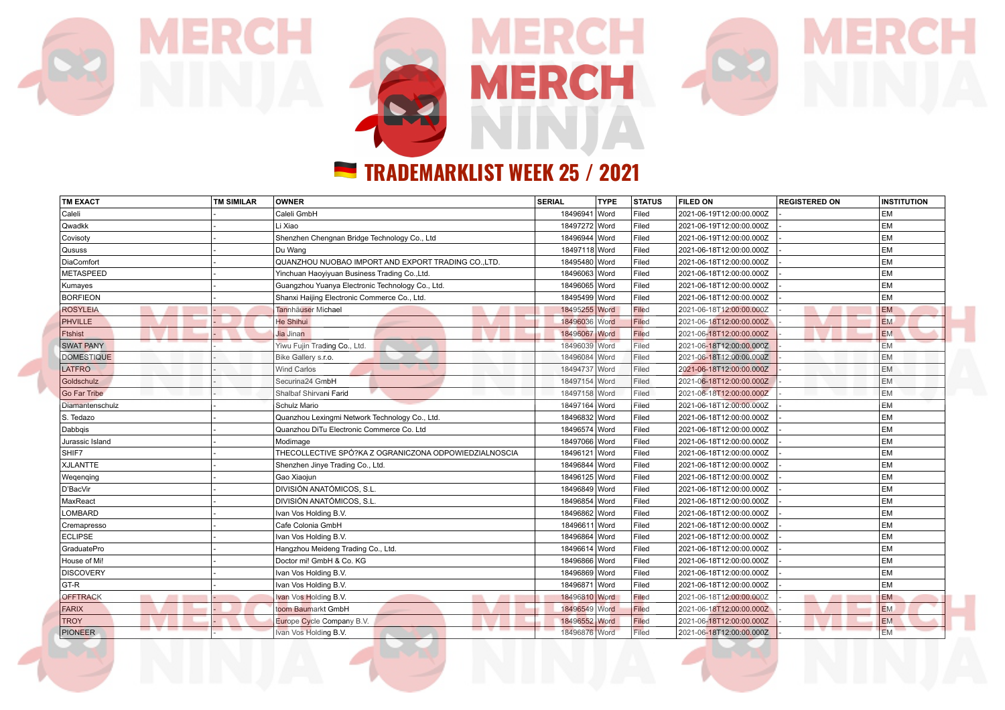

| <b>TM EXACT</b>      | <b>TM SIMILAR</b> | OWNER                                                 | <b>SERIAL</b> | <b>TYPE</b> | <b>STATUS</b> | <b>FILED ON</b>          | <b>REGISTERED ON</b> | <b>INSTITUTION</b> |
|----------------------|-------------------|-------------------------------------------------------|---------------|-------------|---------------|--------------------------|----------------------|--------------------|
| Caleli               |                   | Caleli GmbH                                           | 18496941 Word |             | Filed         | 2021-06-19T12:00:00.000Z |                      | EM                 |
| Qwadkk               |                   | Li Xiao                                               | 18497272 Word |             | Filed         | 2021-06-19T12:00:00.000Z |                      | EM                 |
| Covisoty             |                   | Shenzhen Chengnan Bridge Technology Co., Ltd.         | 18496944 Word |             | Filed         | 2021-06-19T12:00:00.000Z |                      | EM                 |
| Qususs               |                   | Du Wang                                               | 18497118 Word |             | Filed         | 2021-06-18T12:00:00.000Z |                      | EM                 |
| DiaComfort           |                   | QUANZHOU NUOBAO IMPORT AND EXPORT TRADING CO., LTD.   | 18495480 Word |             | Filed         | 2021-06-18T12:00:00.000Z |                      | EM                 |
| METASPEED            |                   | Yinchuan Haoyiyuan Business Trading Co., Ltd.         | 18496063 Word |             | Filed         | 2021-06-18T12:00:00.000Z |                      | EM                 |
| Kumayes              |                   | Guangzhou Yuanya Electronic Technology Co., Ltd.      | 18496065 Word |             | Filed         | 2021-06-18T12:00:00.000Z |                      | EM                 |
| <b>BORFIEON</b>      |                   | Shanxi Haijing Electronic Commerce Co., Ltd.          | 18495499 Word |             | Filed         | 2021-06-18T12:00:00.000Z |                      | EM                 |
| <b>ROSYLEIA</b>      |                   | Tannhäuser Michael                                    | 18495255 Word |             | Filed         | 2021-06-18T12:00:00.000Z |                      | <b>EM</b>          |
| PHVILLE              |                   | He Shihui                                             | 18496036 Word |             | Filed         | 2021-06-18T12:00:00.000Z |                      | <b>EM</b>          |
| Ftshist              |                   | Jia Jinan                                             | 18496067 Word |             | Filed         | 2021-06-18T12:00:00.000Z |                      | <b>EM</b>          |
| <b>SWAT PANY</b>     |                   | Yiwu Fujin Trading Co., Ltd.                          | 18496039 Word |             | Filed         | 2021-06-18T12:00:00.000Z |                      | <b>EM</b>          |
| <b>DOMESTIQUE</b>    |                   | Bike Gallery s.r.o.                                   | 18496084 Word |             | Filed         | 2021-06-18T12:00:00.000Z |                      | EM                 |
| <b>LATFRO</b>        |                   | <b>Wind Carlos</b>                                    | 18494737 Word |             | Filed         | 2021-06-18T12:00:00.000Z |                      | EM                 |
| Goldschulz           |                   | Securina24 GmbH                                       | 18497154 Word |             | Filed         | 2021-06-18T12:00:00.000Z |                      | <b>EM</b>          |
| Go Far Tribe         |                   | Shalbaf Shirvani Farid                                | 18497158 Word |             | Filed         | 2021-06-18T12:00:00.000Z |                      | <b>EM</b>          |
| Diamantenschulz      |                   | Schulz Mario                                          | 18497164 Word |             | Filed         | 2021-06-18T12:00:00.000Z |                      | EM                 |
| S. Tedazo            |                   | Quanzhou Lexingmi Network Technology Co., Ltd.        | 18496832 Word |             | Filed         | 2021-06-18T12:00:00.000Z |                      | EM                 |
| Dabbqis              |                   | Quanzhou DiTu Electronic Commerce Co. Ltd             | 18496574 Word |             | Filed         | 2021-06-18T12:00:00.000Z |                      | <b>EM</b>          |
| Jurassic Island      |                   | Modimage                                              | 18497066 Word |             | Filed         | 2021-06-18T12:00:00.000Z |                      | EM                 |
| SHIF7                |                   | THECOLLECTIVE SPÓ?KA Z OGRANICZONA ODPOWIEDZIALNOSCIA | 18496121 Word |             | Filed         | 2021-06-18T12:00:00.000Z |                      | <b>EM</b>          |
| XJLANTTE             |                   | Shenzhen Jinye Trading Co., Ltd.                      | 18496844 Word |             | Filed         | 2021-06-18T12:00:00.000Z |                      | <b>EM</b>          |
| Wegenging            |                   | Gao Xiaojun                                           | 18496125 Word |             | Filed         | 2021-06-18T12:00:00.000Z |                      | <b>EM</b>          |
| D'BacVir             |                   | <b>DIVISIÓN ANATÓMICOS, S.L.</b>                      | 18496849 Word |             | Filed         | 2021-06-18T12:00:00.000Z |                      | EM                 |
| MaxReact             |                   | DIVISIÓN ANATÓMICOS, S.L.                             | 18496854 Word |             | Filed         | 2021-06-18T12:00:00.000Z |                      | EM                 |
| LOMBARD              |                   | Ivan Vos Holding B.V.                                 | 18496862 Word |             | Filed         | 2021-06-18T12:00:00.000Z |                      | <b>EM</b>          |
| Cremapresso          |                   | Cafe Colonia GmbH                                     | 18496611 Word |             | Filed         | 2021-06-18T12:00:00.000Z |                      | <b>EM</b>          |
| <b>ECLIPSE</b>       |                   | Ivan Vos Holding B.V.                                 | 18496864 Word |             | Filed         | 2021-06-18T12:00:00.000Z |                      | <b>EM</b>          |
| GraduatePro          |                   | Hangzhou Meideng Trading Co., Ltd.                    | 18496614 Word |             | Filed         | 2021-06-18T12:00:00.000Z |                      | EM                 |
| House of Mi!         |                   | Doctor mi! GmbH & Co. KG                              | 18496866 Word |             | Filed         | 2021-06-18T12:00:00.000Z |                      | EM                 |
| <b>DISCOVERY</b>     |                   | Ivan Vos Holding B.V.                                 | 18496869 Word |             | Filed         | 2021-06-18T12:00:00.000Z |                      | EM                 |
| GT-R                 |                   | Ivan Vos Holding B.V.                                 | 18496871 Word |             | Filed         | 2021-06-18T12:00:00.000Z |                      | EM                 |
| <b>OFFTRACK</b><br>- |                   | Ivan Vos Holding B.V.                                 | 18496810 Word |             | Filed         | 2021-06-18T12:00:00.000Z |                      | <b>EM</b>          |
| <b>FARIX</b>         |                   | toom Baumarkt GmbH                                    | 18496549 Word |             | <b>Filed</b>  | 2021-06-18T12:00:00.000Z |                      | <b>EM</b>          |
| <b>TROY</b>          |                   | Europe Cycle Company B.V.                             | 18496552 Word |             | Filed         | 2021-06-18T12:00:00.000Z |                      | <b>EM</b>          |
| <b>PIONEER</b>       |                   | Ivan Vos Holding B.V.                                 | 18496876 Word |             | Filed         | 2021-06-18T12:00:00.000Z |                      | <b>EM</b>          |

**The Contract of Second**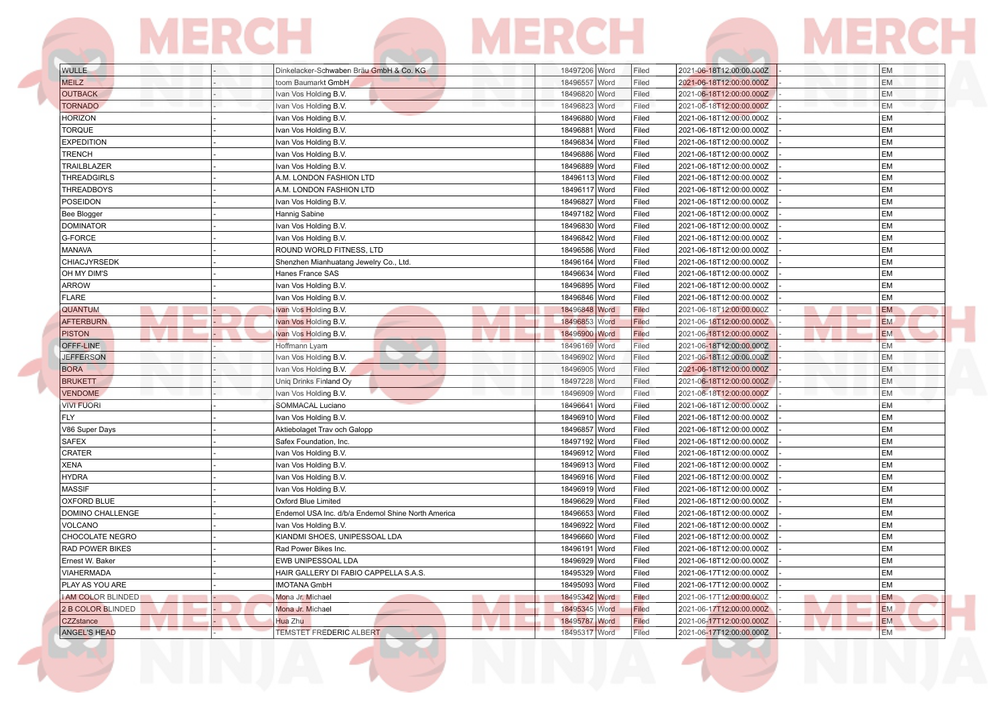| <b>WULLE</b>              | Dinkelacker-Schwaben Bräu GmbH & Co. KG            | 18497206 Word<br>Filed        | 2021-06-18T12:00:00.000Z | EM        |
|---------------------------|----------------------------------------------------|-------------------------------|--------------------------|-----------|
| <b>MEILZ</b>              | toom Baumarkt GmbH                                 | 18496557 Word<br>Filed        | 2021-06-18T12:00:00.000Z | EM        |
| <b>OUTBACK</b>            | Ivan Vos Holding B.V.                              | 18496820 Word<br>Filed        | 2021-06-18T12:00:00.000Z | EM        |
| <b>TORNADO</b>            | Ivan Vos Holding B.V.                              | 18496823 Word<br>Filed        | 2021-06-18T12:00:00.000Z | <b>EM</b> |
| <b>HORIZON</b>            | Ivan Vos Holding B.V.                              | 18496880 Word<br>Filed        | 2021-06-18T12:00:00.000Z | EM        |
| <b>TORQUE</b>             | Ivan Vos Holding B.V.                              | 18496881 Word<br>Filed        | 2021-06-18T12:00:00.000Z | EM        |
| <b>EXPEDITION</b>         | Ivan Vos Holding B.V.                              | 18496834 Word<br>Filed        | 2021-06-18T12:00:00.000Z | EM        |
| TRENCH                    | Ivan Vos Holding B.V.                              | 18496886 Word<br>Filed        | 2021-06-18T12:00:00.000Z | EM        |
| TRAILBLAZER               | Ivan Vos Holding B.V.                              | 18496889 Word<br>Filed        | 2021-06-18T12:00:00.000Z | EM        |
| THREADGIRLS               | A.M. LONDON FASHION LTD                            | 18496113 Word<br>Filed        | 2021-06-18T12:00:00.000Z | EM        |
| THREADBOYS                | A.M. LONDON FASHION LTD                            | 18496117 Word<br>Filed        | 2021-06-18T12:00:00.000Z | EM        |
| POSEIDON                  | Ivan Vos Holding B.V.                              | 18496827 Word<br>Filed        | 2021-06-18T12:00:00.000Z | EM        |
| Bee Blogger               | Hannig Sabine                                      | 18497182 Word<br>Filed        | 2021-06-18T12:00:00.000Z | EM        |
| <b>DOMINATOR</b>          | Ivan Vos Holding B.V.                              | 18496830 Word<br>Filed        | 2021-06-18T12:00:00.000Z | EM        |
| G-FORCE                   | Ivan Vos Holding B.V.                              | 18496842 Word<br>Filed        | 2021-06-18T12:00:00.000Z | EM        |
| MANAVA                    | ROUND WORLD FITNESS, LTD                           | 18496586 Word<br>Filed        | 2021-06-18T12:00:00.000Z | EM        |
| CHIACJYRSEDK              | Shenzhen Mianhuatang Jewelry Co., Ltd.             | 18496164 Word<br>Filed        | 2021-06-18T12:00:00.000Z | EM        |
| OH MY DIM'S               | Hanes France SAS                                   | 18496634 Word<br>Filed        | 2021-06-18T12:00:00.000Z | EM        |
| <b>ARROW</b>              | Ivan Vos Holding B.V.                              | 18496895 Word<br>Filed        | 2021-06-18T12:00:00.000Z | EM        |
| <b>FLARE</b>              | Ivan Vos Holding B.V.                              | 18496846 Word<br>Filed        | 2021-06-18T12:00:00.000Z | EM        |
| QUANTUM                   | Ivan Vos Holding B.V.                              | 18496848 Word<br>Filed        | 2021-06-18T12:00:00.000Z | <b>EM</b> |
| <b>AFTERBURN</b>          | Ivan Vos Holding B.V.                              | Filed<br>18496853 Word        | 2021-06-18T12:00:00.000Z | <b>EM</b> |
| <b>PISTON</b>             | Ivan Vos Holding B.V.                              | 18496900 Word<br>Filed        | 2021-06-18T12:00:00.000Z | <b>EM</b> |
| OFFF-LINE                 | Hoffmann Lyam                                      | 18496169 Word<br>Filed        | 2021-06-18T12:00:00.000Z | <b>EM</b> |
| <b>JEFFERSON</b>          | Ivan Vos Holding B.V.                              | 18496902 Word<br>Filed        | 2021-06-18T12:00:00.000Z | EM        |
| <b>BORA</b>               | Ivan Vos Holding B.V.                              | 18496905 Word<br>Filed        | 2021-06-18T12:00:00.000Z | EM        |
| <b>BRUKETT</b>            | Uniq Drinks Finland Oy                             | 18497228 Word<br>Filed        | 2021-06-18T12:00:00.000Z | <b>EM</b> |
| <b>VENDOME</b>            | Ivan Vos Holding B.V.                              | Filed<br>18496909 Word        | 2021-06-18T12:00:00.000Z | EM        |
| <b>VIVI FUORI</b>         | SOMMACAL Luciano                                   | 18496641 Word<br>Filed        | 2021-06-18T12:00:00.000Z | EM        |
| <b>FLY</b>                | Ivan Vos Holding B.V.                              | 18496910 Word<br>Filed        | 2021-06-18T12:00:00.000Z | EM        |
| V86 Super Days            | Aktiebolaget Trav och Galopp                       | 18496857 Word<br>Filed        | 2021-06-18T12:00:00.000Z | EM        |
| <b>SAFEX</b>              | Safex Foundation, Inc.                             | 18497192 Word<br>Filed        | 2021-06-18T12:00:00.000Z | EM        |
| CRATER                    | Ivan Vos Holding B.V.                              | 18496912 Word<br>Filed        | 2021-06-18T12:00:00.000Z | EM        |
| XENA                      | Ivan Vos Holding B.V.                              | 18496913 Word<br>Filed        | 2021-06-18T12:00:00.000Z | EM        |
| <b>HYDRA</b>              | Ivan Vos Holding B.V.                              | 18496916 Word<br>Filed        | 2021-06-18T12:00:00.000Z | <b>EM</b> |
| <b>MASSIF</b>             | Ivan Vos Holding B.V.                              | 18496919 Word<br>Filed        | 2021-06-18T12:00:00.000Z | EM        |
| OXFORD BLUE               | Oxford Blue Limited                                | 18496629 Word<br>Filed        | 2021-06-18T12:00:00.000Z | EM        |
| DOMINO CHALLENGE          | Endemol USA Inc. d/b/a Endemol Shine North America | 18496653 Word<br>Filed        | 2021-06-18T12:00:00.000Z | EM        |
| VOLCANO                   | Ivan Vos Holding B.V.                              | 18496922 Word<br>Filed        | 2021-06-18T12:00:00.000Z | EM        |
| CHOCOLATE NEGRO           | KIANDMI SHOES, UNIPESSOAL LDA                      | 18496660 Word<br>Filed        | 2021-06-18T12:00:00.000Z | EM        |
| <b>RAD POWER BIKES</b>    | Rad Power Bikes Inc.                               | 18496191 Word<br>Filed        | 2021-06-18T12:00:00.000Z | <b>EM</b> |
| Ernest W. Baker           | EWB UNIPESSOAL LDA                                 | 18496929 Word<br>Filed        | 2021-06-18T12:00:00.000Z | <b>EM</b> |
| <b>VIAHERMADA</b>         | HAIR GALLERY DI FABIO CAPPELLA S.A.S.              | 18495329 Word<br>Filed        | 2021-06-17T12:00:00.000Z | EM        |
| PLAY AS YOU ARE           | <b>IMOTANA GmbH</b>                                | 18495093 Word<br>Filed        | 2021-06-17T12:00:00.000Z | EM        |
| <b>I AM COLOR BLINDED</b> | Mona Jr. Michael<br>-                              | 18495342 Word<br>Filed        | 2021-06-17T12:00:00.000Z | EM        |
| 2 B COLOR BLINDED         | Mona Jr. Michael                                   | Filed<br>18495345 Word        | 2021-06-17T12:00:00.000Z | <b>EM</b> |
| CZZstance                 | Hua Zhu                                            | <b>Filed</b><br>18495787 Word | 2021-06-17T12:00:00.000Z | EM        |
|                           |                                                    |                               | 2021-06-17T12:00:00.000Z | <b>EM</b> |

**B. A DISPLACE II** 

. . . . . . .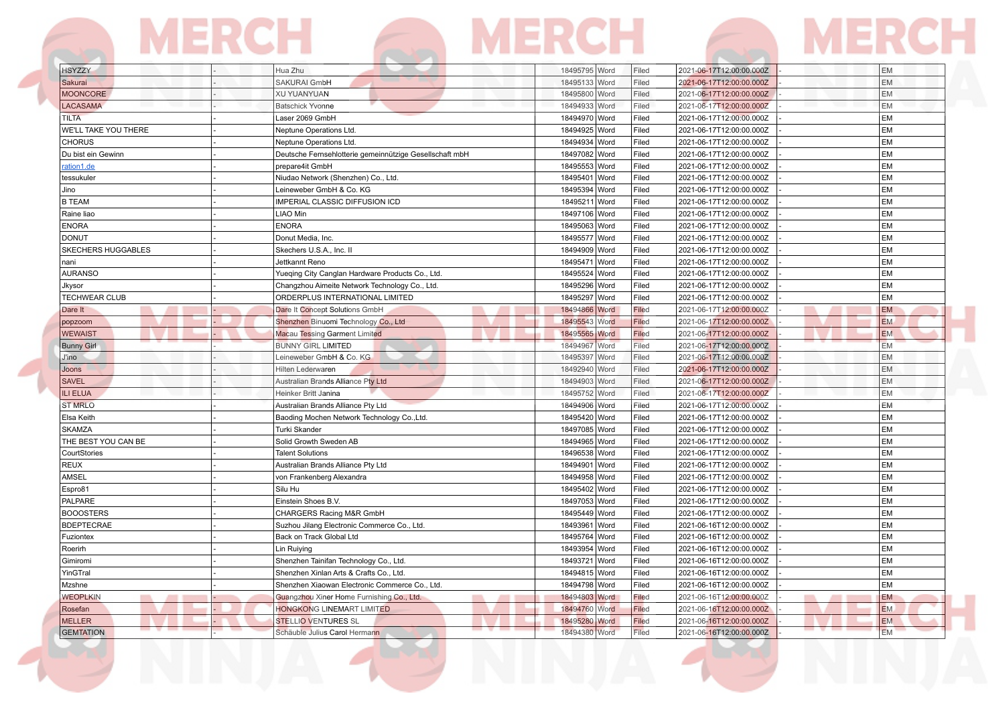|                             | IERCE                                                   | IERCE            |                                   |           |
|-----------------------------|---------------------------------------------------------|------------------|-----------------------------------|-----------|
| <b>HSYZZY</b>               | Hua Zhu                                                 | 18495795 Word    | Filed<br>2021-06-17T12:00:00.000Z | <b>EM</b> |
| Sakurai                     | <b>SAKURAI GmbH</b>                                     | 18495133 Word    | Filed<br>2021-06-17T12:00:00.000Z | <b>EM</b> |
| <b>MOONCORE</b>             | <b>XU YUANYUAN</b>                                      | 18495800 Word    | 2021-06-17T12:00:00.000Z<br>Filed | <b>EM</b> |
| LACASAMA                    | <b>Batschick Yvonne</b>                                 | 18494933 Word    | Filed<br>2021-06-17T12:00:00.000Z | EM        |
| <b>TILTA</b>                | Laser 2069 GmbH                                         | 18494970 Word    | 2021-06-17T12:00:00.000Z<br>Filed | EM        |
| <b>WE'LL TAKE YOU THERE</b> | Neptune Operations Ltd.                                 | 18494925 Word    | Filed<br>2021-06-17T12:00:00.000Z | EM        |
| <b>CHORUS</b>               | Neptune Operations Ltd.                                 | 18494934 Word    | Filed<br>2021-06-17T12:00:00.000Z | EM        |
| Du bist ein Gewinn          | Deutsche Fernsehlotterie gemeinnützige Gesellschaft mbH | 18497082 Word    | Filed<br>2021-06-17T12:00:00.000Z | EM        |
| ation1.de                   | prepare4it GmbH                                         | 18495553 Word    | Filed<br>2021-06-17T12:00:00.000Z | <b>EM</b> |
| tessukuler                  | Niudao Network (Shenzhen) Co., Ltd.                     | 18495401 Word    | Filed<br>2021-06-17T12:00:00.000Z | EM        |
| Jino                        | Leineweber GmbH & Co. KG                                | 18495394 Word    | Filed<br>2021-06-17T12:00:00.000Z | EM        |
| <b>B TEAM</b>               | IMPERIAL CLASSIC DIFFUSION ICD                          | 18495211 Word    | Filed<br>2021-06-17T12:00:00.000Z | <b>EM</b> |
| Raine liao                  | <b>LIAO Min</b>                                         | 18497106 Word    | Filed<br>2021-06-17T12:00:00.000Z | <b>EM</b> |
| <b>ENORA</b>                | <b>ENORA</b>                                            | 18495063 Word    | Filed<br>2021-06-17T12:00:00.000Z | <b>EM</b> |
| <b>DONUT</b>                | Donut Media, Inc.                                       | 18495577 Word    | Filed<br>2021-06-17T12:00:00.000Z | <b>EM</b> |
| SKECHERS HUGGABLES          | Skechers U.S.A., Inc. II                                | 18494909 Word    | 2021-06-17T12:00:00.000Z<br>Filed | EM        |
| nani                        | Jettkannt Reno                                          | 18495471<br>Word | Filed<br>2021-06-17T12:00:00.000Z | EM        |
| <b>AURANSO</b>              | Yueqing City Canglan Hardware Products Co., Ltd.        | 18495524 Word    | Filed<br>2021-06-17T12:00:00.000Z | EM        |
| Jkysor                      | Changzhou Aimeite Network Technology Co., Ltd.          | 18495296 Word    | Filed<br>2021-06-17T12:00:00.000Z | EM        |
| <b>TECHWEAR CLUB</b>        | ORDERPLUS INTERNATIONAL LIMITED                         | 18495297 Word    | Filed<br>2021-06-17T12:00:00.000Z | EM        |
| Dare It                     | Dare It Concept Solutions GmbH                          | 18494866 Word    | Filed<br>2021-06-17T12:00:00.000Z | <b>EM</b> |
| popzoom                     | Shenzhen Binuomi Technology Co., Ltd                    | 18495543 Word    | Filed<br>2021-06-17T12:00:00.000Z | <b>EM</b> |
| <b>WEWAIST</b>              | <b>Macau Tessing Garment Limited</b>                    | 18495565 Word    | Filed<br>2021-06-17T12:00:00.000Z | <b>EM</b> |
| <b>Bunny Girl</b>           | <b>BUNNY GIRL LIMITED</b>                               | 18494967 Word    | Filed<br>2021-06-17T12:00:00.000Z | <b>EM</b> |
| J'ino                       | Leineweber GmbH & Co. KG                                | 18495397 Word    | Filed<br>2021-06-17T12:00:00.000Z | EM        |
| Joons                       | Hilten Lederwaren                                       | 18492940 Word    | Filed<br>2021-06-17T12:00:00.000Z | EM        |
| <b>SAVEL</b>                | Australian Brands Alliance Pty Ltd                      | 18494903 Word    | Filed<br>2021-06-17T12:00:00.000Z | EM        |
| <b>ILI ELUA</b>             | Heinker Britt Janina                                    | 18495752 Word    | Filed<br>2021-06-17T12:00:00.000Z | EM        |
| <b>ST MRLO</b>              | Australian Brands Alliance Pty Ltd                      | 18494906 Word    | 2021-06-17T12:00:00.000Z<br>Filed | EM        |
| Elsa Keith                  | Baoding Mochen Network Technology Co., Ltd.             | 18495420 Word    | Filed<br>2021-06-17T12:00:00.000Z | EM        |
| <b>SKAMZA</b>               | Turki Skander                                           | 18497085 Word    | Filed<br>2021-06-17T12:00:00.000Z | EM        |
| THE BEST YOU CAN BE         | Solid Growth Sweden AB                                  | 18494965 Word    | Filed<br>2021-06-17T12:00:00.000Z | <b>EM</b> |
| CourtStories                | <b>Talent Solutions</b>                                 | 18496538 Word    | Filed<br>2021-06-17T12:00:00.000Z | EM        |
| <b>REUX</b>                 | Australian Brands Alliance Pty Ltd                      | 18494901 Word    | Filed<br>2021-06-17T12:00:00.000Z | <b>EM</b> |
| <b>AMSEL</b>                | von Frankenberg Alexandra                               | 18494958 Word    | Filed<br>2021-06-17T12:00:00.000Z | EM        |
| Espro81                     | Silu Hu                                                 | 18495402 Word    | Filed<br>2021-06-17T12:00:00.000Z | EM        |
| PALPARE                     | Einstein Shoes B.V.                                     | 18497053 Word    | Filed<br>2021-06-17T12:00:00.000Z | EM        |
| <b>BOOOSTERS</b>            | CHARGERS Racing M&R GmbH                                | 18495449 Word    | Filed<br>2021-06-17T12:00:00.000Z | EM        |
| <b>BDEPTECRAE</b>           | Suzhou Jilang Electronic Commerce Co., Ltd.             | 18493961<br>Word | Filed<br>2021-06-16T12:00:00.000Z | <b>EM</b> |
| Fuziontex                   | Back on Track Global Ltd                                | 18495764 Word    | Filed<br>2021-06-16T12:00:00.000Z | EM        |
| Roerirh                     | Lin Ruiying                                             | 18493954 Word    | Filed<br>2021-06-16T12:00:00.000Z | EM        |
| Gimiromi                    | Shenzhen Tainifan Technology Co., Ltd.                  | 18493721<br>Word | Filed<br>2021-06-16T12:00:00.000Z | EM        |
| YinGTral                    | Shenzhen Xinlan Arts & Crafts Co., Ltd.                 | 18494815 Word    | Filed<br>2021-06-16T12:00:00.000Z | EM        |
| Mzshne                      | Shenzhen Xiaowan Electronic Commerce Co., Ltd.          | 18494798 Word    | Filed<br>2021-06-16T12:00:00.000Z | EM        |

WEOPLKIN Guangzhou Xiner Home Furnishing Co., Ltd. 18494803 Word Filed 2021-06-16T12:00:00.0002 - EM<br>Rosefan HONGKONG LINEMART LIMITED 18494760 Word Filed 2021-06-16T12:00:00.0002 - EM<br>MELLER STELLIO VENTURES SL 18495280 W

GEMTATION - Schäuble Julius Carol Hermann 18494380 Word Filed

RONGKONG LINEMART LIMITED **18494760** Word Filed 2021-06-16T12:00:00.000Z - EM MELLIO VENTURES SL 18495280 Word Filed 2021-06-16T12:00:00.000Z - EM 18494380 Word Filed 2021-06-16T12:00:00.000Z - EM EM 18494380 Word Filed 2021-06-16T12:00:00.000Z - EM EM 18494380 Word Filed 2021-06-16T12:00:00.000Z -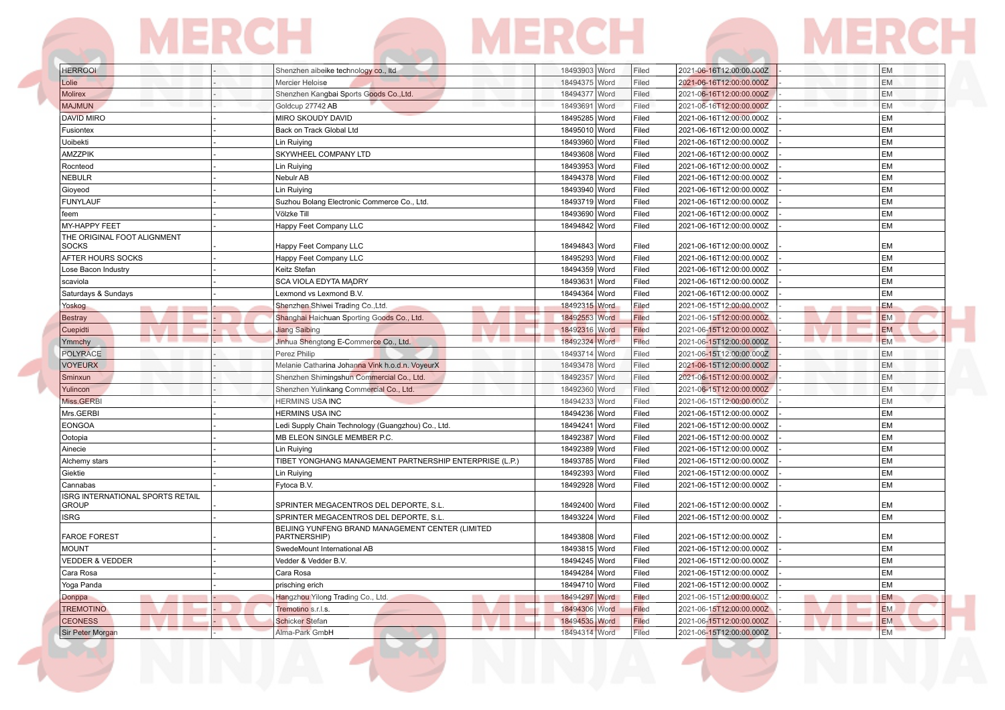| <b>HERROOL</b> |  | Shenzhen aibeike technology co., Itd    | 18493903 Word | Filed | 2021-06-16T12:00:00.000Z | <b>EM</b>  |
|----------------|--|-----------------------------------------|---------------|-------|--------------------------|------------|
| Lolie          |  | Mercier Heloise                         | 18494375 Word | Filed | 2021-06-16T12:00:00.000Z | <b>IEM</b> |
| <b>Molirex</b> |  | Shenzhen Kangbai Sports Goods Co., Ltd. | 18494377 Word | Filed | 2021-06-16T12:00:00.000Z | <b>IEM</b> |
|                |  |                                         |               |       |                          |            |

| <b>EM</b><br>2021-06-16T12:00:00.000Z<br>EM<br>2021-06-16T12:00:00.000Z<br>EM<br>2021-06-16T12:00:00.000Z<br>EM<br>2021-06-16T12:00:00.000Z<br>EM<br>2021-06-16T12:00:00.000Z<br>EM<br>2021-06-16T12:00:00.000Z<br>EM<br>2021-06-16T12:00:00.000Z<br>EM<br>2021-06-16T12:00:00.000Z<br>EM<br>2021-06-16T12:00:00.000Z |
|-----------------------------------------------------------------------------------------------------------------------------------------------------------------------------------------------------------------------------------------------------------------------------------------------------------------------|
|                                                                                                                                                                                                                                                                                                                       |
|                                                                                                                                                                                                                                                                                                                       |
|                                                                                                                                                                                                                                                                                                                       |
|                                                                                                                                                                                                                                                                                                                       |
|                                                                                                                                                                                                                                                                                                                       |
|                                                                                                                                                                                                                                                                                                                       |
|                                                                                                                                                                                                                                                                                                                       |
|                                                                                                                                                                                                                                                                                                                       |
|                                                                                                                                                                                                                                                                                                                       |
| EM<br>2021-06-16T12:00:00.000Z                                                                                                                                                                                                                                                                                        |
| 2021-06-16T12:00:00.000Z<br>EM                                                                                                                                                                                                                                                                                        |
| EM<br>2021-06-16T12:00:00.000Z                                                                                                                                                                                                                                                                                        |
| EM<br>2021-06-16T12:00:00.000Z                                                                                                                                                                                                                                                                                        |
| EM<br>2021-06-16T12:00:00.000Z                                                                                                                                                                                                                                                                                        |
| EM<br>2021-06-16T12:00:00.000Z                                                                                                                                                                                                                                                                                        |
| <b>EM</b><br>2021-06-15T12:00:00.000Z                                                                                                                                                                                                                                                                                 |
| <b>EM</b><br>2021-06-15T12:00:00.000Z                                                                                                                                                                                                                                                                                 |
| <b>EM</b><br>2021-06-15T12:00:00.000Z                                                                                                                                                                                                                                                                                 |
| <b>EM</b><br>2021-06-15T12:00:00.000Z                                                                                                                                                                                                                                                                                 |
| EM<br>2021-06-15T12:00:00.000Z                                                                                                                                                                                                                                                                                        |
| <b>EM</b><br>2021-06-15T12:00:00.000Z                                                                                                                                                                                                                                                                                 |
| <b>EM</b><br>2021-06-15T12:00:00.000Z                                                                                                                                                                                                                                                                                 |
| EM<br>2021-06-15T12:00:00.000Z                                                                                                                                                                                                                                                                                        |
| EM<br>2021-06-15T12:00:00.000Z                                                                                                                                                                                                                                                                                        |
| EM<br>2021-06-15T12:00:00.000Z                                                                                                                                                                                                                                                                                        |
| EM<br>2021-06-15T12:00:00.000Z                                                                                                                                                                                                                                                                                        |
| EM<br>2021-06-15T12:00:00.000Z                                                                                                                                                                                                                                                                                        |
| EM<br>2021-06-15T12:00:00.000Z                                                                                                                                                                                                                                                                                        |
| EM<br>2021-06-15T12:00:00.000Z                                                                                                                                                                                                                                                                                        |
| EM<br>2021-06-15T12:00:00.000Z                                                                                                                                                                                                                                                                                        |
| EM<br>2021-06-15T12:00:00.000Z                                                                                                                                                                                                                                                                                        |
| 2021-06-15T12:00:00.000Z<br>EM                                                                                                                                                                                                                                                                                        |
| EM<br>2021-06-15T12:00:00.000Z                                                                                                                                                                                                                                                                                        |
| EM<br>2021-06-15T12:00:00.000Z                                                                                                                                                                                                                                                                                        |
| EM<br>2021-06-15T12:00:00.000Z                                                                                                                                                                                                                                                                                        |
| EM<br>2021-06-15T12:00:00.000Z                                                                                                                                                                                                                                                                                        |
| EM<br>2021-06-15T12:00:00.000Z                                                                                                                                                                                                                                                                                        |
| EM<br>2021-06-15T12:00:00.000Z                                                                                                                                                                                                                                                                                        |
| <b>EM</b><br>2021-06-15T12:00:00.000Z                                                                                                                                                                                                                                                                                 |
| <b>EM</b><br>2021-06-15T12:00:00.000Z                                                                                                                                                                                                                                                                                 |
| 2021-06-15T12:00:00.000Z<br><b>EM</b>                                                                                                                                                                                                                                                                                 |
| <b>EM</b><br>2021-06-15T12:00:00.000Z                                                                                                                                                                                                                                                                                 |
| Filed<br>Filed<br>Filed<br>Filed<br>Filed<br>Filed<br>Filed<br>Filed<br>Filed<br>Filed<br>Filed<br>Filed<br>Filed<br>Filed<br>Filed<br>Filed<br>Filed<br>Filed<br>Filed<br>Filed<br>Filed<br>Filed<br>Filed<br>Filed<br>Filed<br>Filed<br>Filed<br>Filed<br>Filed<br>Filed<br>Filed<br>Filed<br>Filed                 |

 $\sqrt{2}$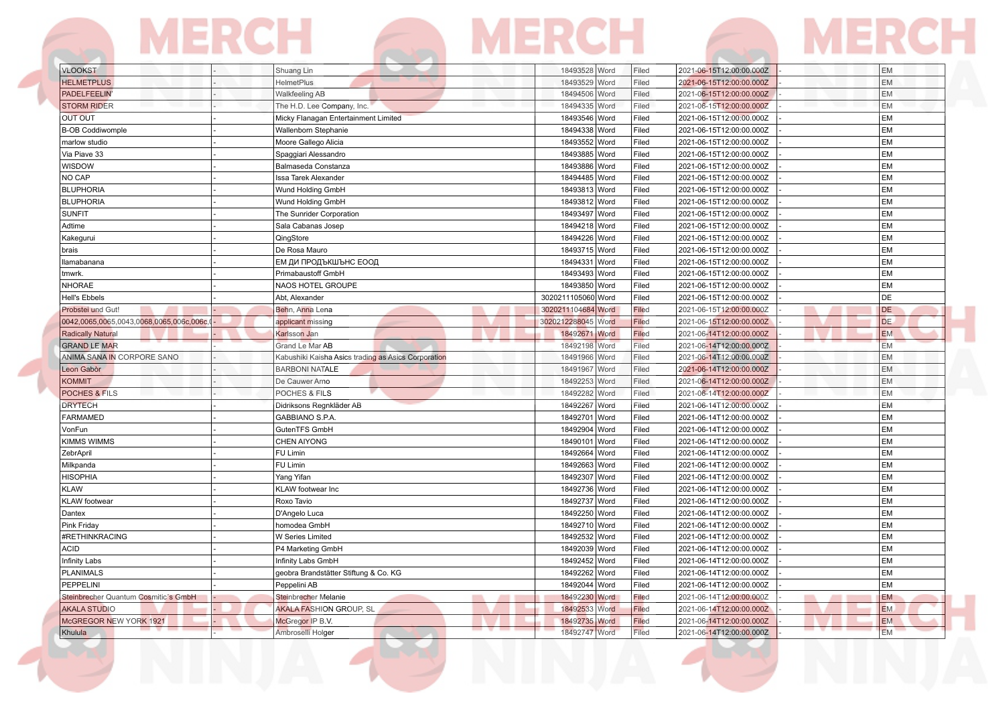| <b>VLOOKST</b>                           | Shuang Lin                                          | 18493528 Word      | Filed | 2021-06-15T12:00:00.000Z | EM        |
|------------------------------------------|-----------------------------------------------------|--------------------|-------|--------------------------|-----------|
| <b>HELMETPLUS</b>                        | <b>HelmetPlus</b>                                   | 18493529 Word      | Filed | 2021-06-15T12:00:00.000Z | EM        |
| PADELFEELIN                              | <b>Walkfeeling AB</b>                               | 18494506 Word      | Filed | 2021-06-15T12:00:00.000Z | EM        |
| <b>STORM RIDER</b>                       | The H.D. Lee Company, Inc.                          | 18494335 Word      | Filed | 2021-06-15T12:00:00.000Z | EM        |
| <b>OUT OUT</b>                           | Micky Flanagan Entertainment Limited                | 18493546 Word      | Filed | 2021-06-15T12:00:00.000Z | EM        |
| <b>B-OB Coddiwomple</b>                  | Wallenborn Stephanie                                | 18494338 Word      | Filed | 2021-06-15T12:00:00.000Z | <b>EM</b> |
| marlow studio                            | Moore Gallego Alicia                                | 18493552 Word      | Filed | 2021-06-15T12:00:00.000Z | EM        |
| Via Piave 33                             | Spaggiari Alessandro                                | 18493885 Word      | Filed | 2021-06-15T12:00:00.000Z | EM        |
| WISDOW                                   | Balmaseda Constanza                                 | 18493886 Word      | Filed | 2021-06-15T12:00:00.000Z | EM        |
| NO CAP                                   | Issa Tarek Alexander                                | 18494485 Word      | Filed | 2021-06-15T12:00:00.000Z | <b>EM</b> |
| <b>BLUPHORIA</b>                         | Wund Holding GmbH                                   | 18493813 Word      | Filed | 2021-06-15T12:00:00.000Z | <b>EM</b> |
| <b>BLUPHORIA</b>                         | Wund Holding GmbH                                   | 18493812 Word      | Filed | 2021-06-15T12:00:00.000Z | EM        |
| <b>SUNFIT</b>                            | The Sunrider Corporation                            | 18493497 Word      | Filed | 2021-06-15T12:00:00.000Z | EM        |
| Adtime                                   | Sala Cabanas Josep                                  | 18494218 Word      | Filed | 2021-06-15T12:00:00.000Z | EM        |
| Kakegurui                                | QingStore                                           | 18494226 Word      | Filed | 2021-06-15T12:00:00.000Z | <b>EM</b> |
| brais                                    | De Rosa Mauro                                       | 18493715 Word      | Filed | 2021-06-15T12:00:00.000Z | <b>EM</b> |
| llamabanana                              | ЕМ ДИ ПРОДЪКШЪНС ЕООД                               | 18494331 Word      | Filed | 2021-06-15T12:00:00.000Z | <b>EM</b> |
| tmwrk.                                   | Primabaustoff GmbH                                  | 18493493 Word      | Filed | 2021-06-15T12:00:00.000Z | <b>EM</b> |
| <b>NHORAE</b>                            | <b>NAOS HOTEL GROUPE</b>                            | 18493850 Word      | Filed | 2021-06-15T12:00:00.000Z | EM        |
| <b>Hell's Ebbels</b>                     | Abt, Alexander                                      | 3020211105060 Word | Filed | 2021-06-15T12:00:00.000Z | DE        |
| Probstei und Gut!                        | Behn, Anna Lena                                     | 3020211104684 Word | Filed | 2021-06-15T12:00:00.000Z | DE        |
| 0042,0065,0065,0043,0068,0065,006c,006c, | applicant missing                                   | 3020212288045 Word | Filed | 2021-06-15T12:00:00.000Z | DE.       |
| <b>Radically Natural</b>                 | Karlsson Jan                                        | 18492671 Word      | Filed | 2021-06-14T12:00:00.000Z | <b>EM</b> |
| <b>GRAND LE MAR</b>                      | Grand Le Mar AB                                     | 18492198 Word      | Filed | 2021-06-14T12:00:00.000Z | <b>EM</b> |
| ANIMA SANA IN CORPORE SANO               | Kabushiki Kaisha Asics trading as Asics Corporation | 18491966 Word      | Filed | 2021-06-14T12:00:00.000Z | EM        |
| Leon Gabòr                               | <b>BARBONI NATALE</b>                               | 18491967 Word      | Filed | 2021-06-14T12:00:00.000Z | EM        |
| <b>KOMMIT</b>                            | De Cauwer Arno                                      | 18492253 Word      | Filed | 2021-06-14T12:00:00.000Z | EM        |
| <b>POCHES &amp; FILS</b>                 | POCHES & FILS                                       | 18492282 Word      | Filed | 2021-06-14T12:00:00.000Z | EM        |
| <b>DRYTECH</b>                           | Didriksons Regnkläder AB                            | 18492267 Word      | Filed | 2021-06-14T12:00:00.000Z | EM        |
| <b>FARMAMED</b>                          | <b>GABBIANO S.P.A</b>                               | 18492701 Word      | Filed | 2021-06-14T12:00:00.000Z | EM        |
| VonFun                                   | GutenTFS GmbH                                       | 18492904 Word      | Filed | 2021-06-14T12:00:00.000Z | <b>EM</b> |
| KIMMS WIMMS                              | <b>CHEN AIYONG</b>                                  | 18490101 Word      | Filed | 2021-06-14T12:00:00.000Z | <b>EM</b> |
| ZebrApril                                | FU Limin                                            | 18492664 Word      | Filed | 2021-06-14T12:00:00.000Z | EM        |
| Milkpanda                                | FU Limin                                            | 18492663 Word      | Filed | 2021-06-14T12:00:00.000Z | EM        |
| <b>HISOPHIA</b>                          |                                                     | 18492307<br>Word   | Filed | 2021-06-14T12:00:00.000Z | <b>EM</b> |
| <b>KLAW</b>                              | Yang Yifan<br>KLAW footwear Inc                     | 18492736 Word      | Filed | 2021-06-14T12:00:00.000Z | EM        |
| KLAW footwear                            | Roxo Tavio                                          | 18492737 Word      | Filed | 2021-06-14T12:00:00.000Z | EM        |
| Dantex                                   |                                                     | 18492250 Word      | Filed |                          | <b>EM</b> |
|                                          | D'Angelo Luca                                       |                    |       | 2021-06-14T12:00:00.000Z | EM        |
| Pink Friday                              | homodea GmbH                                        | 18492710 Word      | Filed | 2021-06-14T12:00:00.000Z | EM        |
| #RETHINKRACING                           | W Series Limited                                    | 18492532 Word      | Filed | 2021-06-14T12:00:00.000Z |           |
| <b>ACID</b>                              | P4 Marketing GmbH                                   | 18492039 Word      | Filed | 2021-06-14T12:00:00.000Z | EM<br>EM  |
| <b>Infinity Labs</b>                     | Infinity Labs GmbH                                  | 18492452 Word      | Filed | 2021-06-14T12:00:00.000Z |           |
| <b>PLANIMALS</b>                         | geobra Brandstätter Stiftung & Co. KG               | 18492262<br>Word   | Filed | 2021-06-14T12:00:00.000Z | EM        |
| PEPPELINI                                | Peppelini AB                                        | 18492044 Word      | Filed | 2021-06-14T12:00:00.000Z | <b>EM</b> |
| Steinbrecher Quantum Cosmitic's GmbH     | Steinbrecher Melanie                                | 18492230 Word      | Filed | 2021-06-14T12:00:00.000Z | EM        |
| <b>AKALA STUDIO</b>                      | <b>AKALA FASHION GROUP, SL</b>                      | 18492533 Word      | Filed | 2021-06-14T12:00:00.000Z | <b>EM</b> |
| McGREGOR NEW YORK 1921                   | McGregor IP B.V.                                    | 18492735 Word      | Filed | 2021-06-14T12:00:00.000Z | <b>EM</b> |
| Khulula                                  | Ambroselli Holger                                   | 18492747 Word      | Filed | 2021-06-14T12:00:00.000Z | <b>EM</b> |

**CONTRACTOR** 

**The Contract of Section**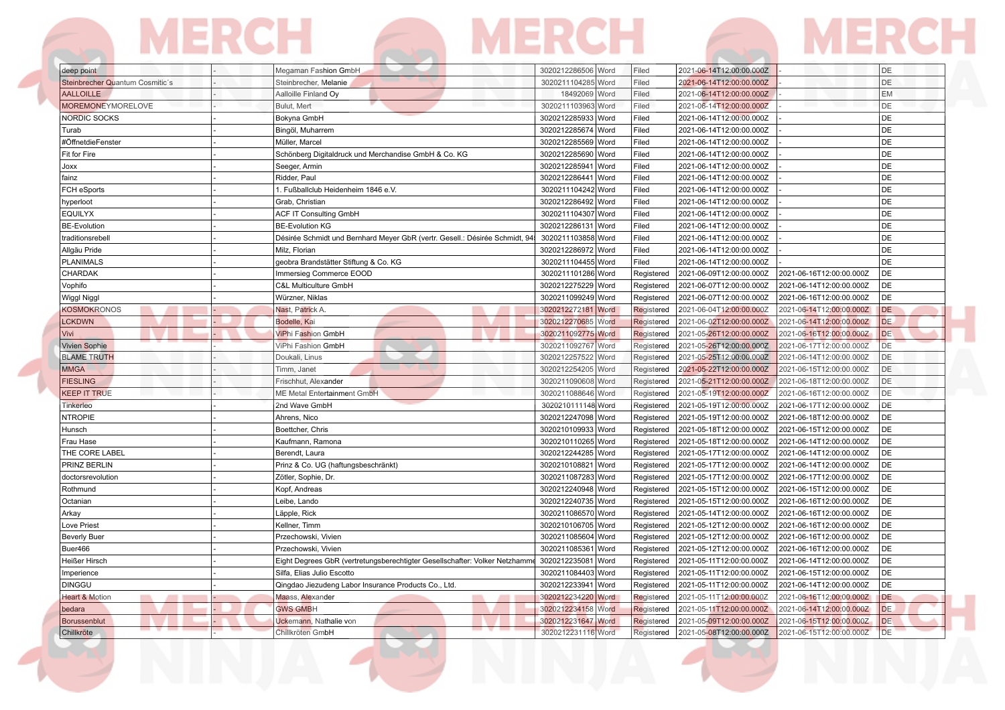### **MERCH MERCH MERCH**

| deep point                      | Megaman Fashion GmbH                                                        | 3020212286506   Word  | Filed      | 2021-06-14T12:00:00.000Z |                          | DE        |
|---------------------------------|-----------------------------------------------------------------------------|-----------------------|------------|--------------------------|--------------------------|-----------|
| Steinbrecher Quantum Cosmitic's | Steinbrecher, Melanie                                                       | 3020211104285 Word    | Filed      | 2021-06-14T12:00:00.000Z |                          | DE        |
| <b>AALLOILLE</b>                | Aalloille Finland Oy                                                        | 18492069 Word         | Filed      | 2021-06-14T12:00:00.000Z |                          | <b>EM</b> |
| <b>MOREMONEYMORELOVE</b>        | Bulut, Mert                                                                 | 3020211103963 Word    | Filed      | 2021-06-14T12:00:00.000Z |                          | <b>DE</b> |
| <b>NORDIC SOCKS</b>             | Bokyna GmbH                                                                 | 3020212285933 Word    | Filed      | 2021-06-14T12:00:00.000Z |                          | DE        |
| Turab                           | Bingöl, Muharrem                                                            | 3020212285674 Word    | Filed      | 2021-06-14T12:00:00.000Z |                          | DE        |
| #ÖffnetdieFenster               | Müller, Marcel                                                              | 3020212285569 Word    | Filed      | 2021-06-14T12:00:00.000Z |                          | DE        |
| Fit for Fire                    | Schönberg Digitaldruck und Merchandise GmbH & Co. KG                        | 3020212285690<br>Word | Filed      | 2021-06-14T12:00:00.000Z |                          | l DE      |
| Joxx                            | Seeger, Armin                                                               | 3020212285941<br>Word | Filed      | 2021-06-14T12:00:00.000Z |                          | DE        |
| fainz                           | Ridder, Paul                                                                | 3020212286441 Word    | Filed      | 2021-06-14T12:00:00.000Z |                          | DE        |
| FCH eSports                     | 1. Fußballclub Heidenheim 1846 e.V.                                         | 3020211104242 Word    | Filed      | 2021-06-14T12:00:00.000Z |                          | <b>DE</b> |
| hyperloot                       | Grab, Christian                                                             | 3020212286492 Word    | Filed      | 2021-06-14T12:00:00.000Z |                          | DE        |
| <b>EQUILYX</b>                  | <b>ACF IT Consulting GmbH</b>                                               | 3020211104307 Word    | Filed      | 2021-06-14T12:00:00.000Z |                          | DE        |
| <b>BE-Evolution</b>             | <b>BE-Evolution KG</b>                                                      | 3020212286131 Word    | Filed      | 2021-06-14T12:00:00.000Z |                          | DE        |
| traditionsrebell                | Désirée Schmidt und Bernhard Meyer GbR (vertr. Gesell.: Désirée Schmidt, 94 | 3020211103858 Word    | Filed      | 2021-06-14T12:00:00.000Z |                          | DE        |
| Allgäu Pride                    | Milz. Florian                                                               | 3020212286972 Word    | Filed      | 2021-06-14T12:00:00.000Z |                          | DE        |
| <b>PLANIMALS</b>                | geobra Brandstätter Stiftung & Co. KG                                       | 3020211104455 Word    | Filed      | 2021-06-14T12:00:00.000Z |                          | l DE      |
| CHARDAK                         | Immersieg Commerce EOOD                                                     | 3020211101286 Word    | Registered | 2021-06-09T12:00:00.000Z | 2021-06-16T12:00:00.000Z | DE        |
| Vophifo                         | C&L Multiculture GmbH                                                       | 3020212275229 Word    | Registered | 2021-06-07T12:00:00.000Z | 2021-06-14T12:00:00.000Z | DE        |
| Wiggl Niggl                     | Würzner, Niklas                                                             | 3020211099249 Word    | Registered | 2021-06-07T12:00:00.000Z | 2021-06-16T12:00:00.000Z | DE        |
| <b>KOSMOKRONOS</b>              | Nast, Patrick A.                                                            | 3020212272181 Word    | Registered | 2021-06-04T12:00:00.000Z | 2021-06-14T12:00:00.000Z | <b>DE</b> |
| <b>LCKDWN</b>                   | Bodelle, Kai                                                                | 3020212270685 Word    | Registered | 2021-06-02T12:00:00.000Z | 2021-06-14T12:00:00.000Z | <b>DE</b> |
| Vivi                            | <b>ViPhi Fashion GmbH</b>                                                   | 3020211092775 Word    | Registered | 2021-05-26T12:00:00.000Z | 2021-06-16T12:00:00.000Z | <b>DE</b> |
| <b>Vivien Sophie</b>            | ViPhi Fashion GmbH                                                          | 3020211092767 Word    | Registered | 2021-05-26T12:00:00.000Z | 2021-06-17T12:00:00.000Z | <b>DE</b> |
| <b>BLAME TRUTH</b>              | Doukali, Linus                                                              | 3020212257522 Word    | Registered | 2021-05-25T12:00:00.000Z | 2021-06-14T12:00:00.000Z | DE        |
| <b>MMGA</b>                     | Timm, Janet                                                                 | 3020212254205 Word    | Registered | 2021-05-22T12:00:00.000Z | 2021-06-15T12:00:00.000Z | DE        |
| <b>FIESLING</b>                 | Frischhut, Alexander                                                        | 3020211090608 Word    | Registered | 2021-05-21T12:00:00.000Z | 2021-06-18T12:00:00.000Z | DE        |
| <b>KEEP IT TRUE</b>             | ME Metal Entertainment GmbH                                                 | 3020211088646 Word    | Registered | 2021-05-19T12:00:00.000Z | 2021-06-16T12:00:00.000Z | DE        |
| Tinkerleo                       | 2nd Wave GmbH                                                               | 3020210111148 Word    | Registered | 2021-05-19T12:00:00.000Z | 2021-06-17T12:00:00.000Z | DE        |
| <b>NTROPIE</b>                  | Ahrens, Nico                                                                | 3020212247098 Word    | Registered | 2021-05-19T12:00:00.000Z | 2021-06-18T12:00:00.000Z | DE        |
| Hunsch                          | Boettcher, Chris                                                            | 3020210109933 Word    | Registered | 2021-05-18T12:00:00.000Z | 2021-06-15T12:00:00.000Z | DE        |
| Frau Hase                       | Kaufmann, Ramona                                                            | 3020210110265 Word    | Registered | 2021-05-18T12:00:00.000Z | 2021-06-14T12:00:00.000Z | DE        |
| THE CORE LABEL                  | Berendt, Laura                                                              | 3020212244285 Word    | Registered | 2021-05-17T12:00:00.000Z | 2021-06-14T12:00:00.000Z | DE        |
| PRINZ BERLIN                    | Prinz & Co. UG (haftungsbeschränkt)                                         | 3020210108821 Word    | Registered | 2021-05-17T12:00:00.000Z | 2021-06-14T12:00:00.000Z | DE        |
| doctorsrevolution               | Zötler, Sophie, Dr.                                                         | 3020211087283 Word    | Registered | 2021-05-17T12:00:00.000Z | 2021-06-17T12:00:00.000Z | DE        |
| Rothmund                        | Kopf, Andreas                                                               | 3020212240948 Word    | Registered | 2021-05-15T12:00:00.000Z | 2021-06-15T12:00:00.000Z | DE        |
| Octanian                        | Leibe, Lando                                                                | 3020212240735 Word    | Registered | 2021-05-15T12:00:00.000Z | 2021-06-16T12:00:00.000Z | DE        |
| Arkay                           | Läpple, Rick                                                                | 3020211086570 Word    | Registered | 2021-05-14T12:00:00.000Z | 2021-06-16T12:00:00.000Z | DE        |
| Love Priest                     | Kellner, Timm                                                               | 3020210106705 Word    | Registered | 2021-05-12T12:00:00.000Z | 2021-06-16T12:00:00.000Z | DE        |
| <b>Beverly Buer</b>             | Przechowski, Vivien                                                         | 3020211085604 Word    | Registered | 2021-05-12T12:00:00.000Z | 2021-06-16T12:00:00.000Z | DE        |
| Buer466                         | Przechowski, Vivien                                                         | 3020211085361 Word    | Registered | 2021-05-12T12:00:00.000Z | 2021-06-16T12:00:00.000Z | DE        |
| Heißer Hirsch                   | Eight Degrees GbR (vertretungsberechtigter Gesellschafter: Volker Netzhamme | 3020212235081<br>Word | Registered | 2021-05-11T12:00:00.000Z | 2021-06-14T12:00:00.000Z | DE        |
| Imperience                      | Silfa, Elias Julio Escotto                                                  | 3020211084403 Word    | Registered | 2021-05-11T12:00:00.000Z | 2021-06-15T12:00:00.000Z | DE        |
| <b>DINGGU</b>                   | Qingdao Jiezudeng Labor Insurance Products Co., Ltd.                        | 3020212233941 Word    | Registered | 2021-05-11T12:00:00.000Z | 2021-06-14T12:00:00.000Z | DE        |
| <b>Heart &amp; Motion</b>       | Maass, Alexander                                                            | 3020212234220 Word    | Registered | 2021-05-11T12:00:00.000Z | 2021-06-16T12:00:00.000Z | DE        |
| bedara                          | <b>GWS GMBH</b>                                                             | 3020212234158 Word    | Registered | 2021-05-11T12:00:00.000Z | 2021-06-14T12:00:00.000Z | <b>DE</b> |
| Borussenblut                    | Uckemann, Nathalie von                                                      | 3020212231647 Word    | Registered | 2021-05-09T12:00:00.000Z | 2021-06-15T12:00:00.000Z | DE        |
| Chillkröte                      | Chillkröten GmbH                                                            | 3020212231116 Word    | Registered | 2021-05-08T12:00:00.000Z | 2021-06-15T12:00:00.000Z | <b>DE</b> |
|                                 |                                                                             |                       |            |                          |                          |           |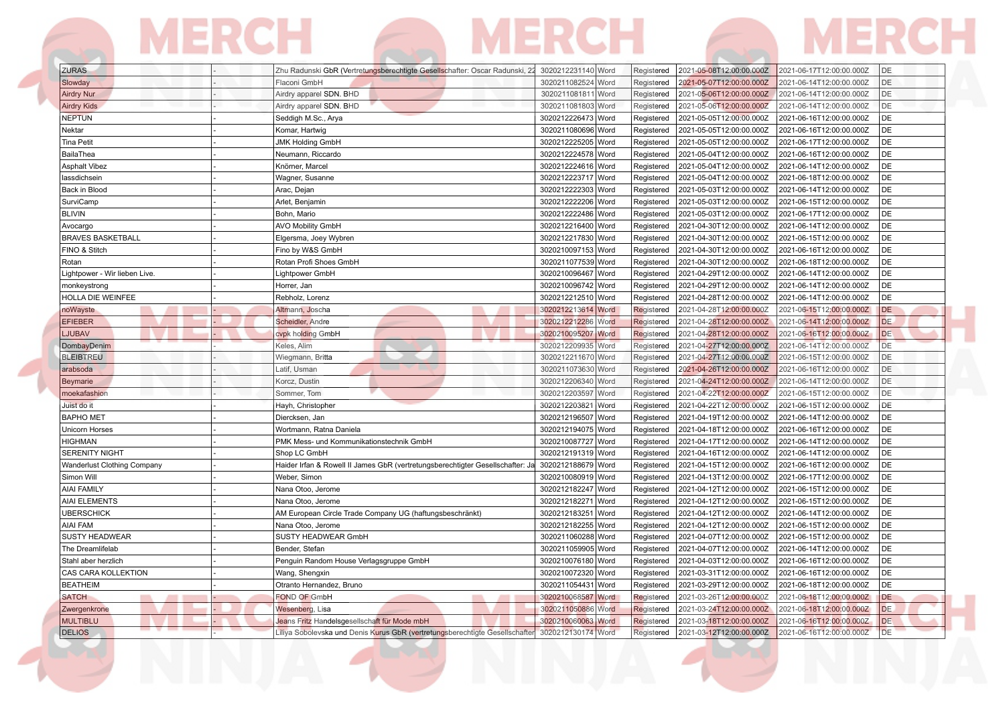| <b>ZURAS</b>                       | Zhu Radunski GbR (Vertretungsberechtigte Gesellschafter: Oscar Radunski, 22    | 3020212231140 Word | 2021-05-08T12:00:00.000Z<br>Registered | 2021-06-17T12:00:00.000Z<br>DE        |
|------------------------------------|--------------------------------------------------------------------------------|--------------------|----------------------------------------|---------------------------------------|
| Slowday                            | Flaconi GmbH                                                                   | 3020211082524 Word | 2021-05-07T12:00:00.000Z<br>Registered | DE<br>2021-06-14T12:00:00.000Z        |
| <b>Airdry Nur</b>                  | Airdry apparel SDN. BHD                                                        | 3020211081811 Word | 2021-05-06T12:00:00.000Z<br>Registered | DE<br>2021-06-14T12:00:00.000Z        |
| <b>Airdry Kids</b>                 | Airdry apparel SDN. BHD                                                        | 3020211081803 Word | 2021-05-06T12:00:00.000Z<br>Registered | DE<br>2021-06-14T12:00:00.000Z        |
| <b>NEPTUN</b>                      | Seddigh M.Sc., Arya                                                            | 3020212226473 Word | Registered<br>2021-05-05T12:00:00.000Z | DE<br>2021-06-16T12:00:00.000Z        |
| Nektar                             | Komar, Hartwig                                                                 | 3020211080696 Word | 2021-05-05T12:00:00.000Z<br>Registered | DE<br>2021-06-16T12:00:00.000Z        |
| <b>Tina Petit</b>                  | <b>JMK Holding GmbH</b>                                                        | 3020212225205 Word | 2021-05-05T12:00:00.000Z<br>Registered | DE<br>2021-06-17T12:00:00.000Z        |
| BailaThea                          | Neumann, Riccardo                                                              | 3020212224578 Word | 2021-05-04T12:00:00.000Z<br>Registered | DE<br>2021-06-16T12:00:00.000Z        |
| <b>Asphalt Vibez</b>               | Knörner, Marcel                                                                | 3020212224616 Word | Registered<br>2021-05-04T12:00:00.000Z | <b>DE</b><br>2021-06-14T12:00:00.000Z |
| lassdichsein                       | Wagner, Susanne                                                                | 3020212223717 Word | 2021-05-04T12:00:00.000Z<br>Registered | DE<br>2021-06-18T12:00:00.000Z        |
| Back in Blood                      | Arac, Dejan                                                                    | 3020212222303 Word | Registered<br>2021-05-03T12:00:00.000Z | DE<br>2021-06-14T12:00:00.000Z        |
| SurviCamp                          | Arlet, Benjamin                                                                | 3020212222206 Word | Registered<br>2021-05-03T12:00:00.000Z | DE<br>2021-06-15T12:00:00.000Z        |
| <b>BLIVIN</b>                      | Bohn, Mario                                                                    | 3020212222486 Word | 2021-05-03T12:00:00.000Z<br>Registered | DE<br>2021-06-17T12:00:00.000Z        |
| Avocargo                           | <b>AVO Mobility GmbH</b>                                                       | 3020212216400 Word | Registered<br>2021-04-30T12:00:00.000Z | DE<br>2021-06-14T12:00:00.000Z        |
| <b>BRAVES BASKETBALL</b>           | Elgersma, Joey Wybren                                                          | 3020212217830 Word | 2021-04-30T12:00:00.000Z<br>Registered | <b>DE</b><br>2021-06-15T12:00:00.000Z |
| FINO & Stitch                      | Fino by W&S GmbH                                                               | 3020210097153 Word | 2021-04-30T12:00:00.000Z<br>Registered | DE<br>2021-06-16T12:00:00.000Z        |
| Rotan                              | Rotan Profi Shoes GmbH                                                         | 3020211077539 Word | Registered<br>2021-04-30T12:00:00.000Z | DE<br>2021-06-18T12:00:00.000Z        |
| Lightpower - Wir lieben Live.      | Lightpower GmbH                                                                | 3020210096467 Word | Registered<br>2021-04-29T12:00:00.000Z | <b>DE</b><br>2021-06-14T12:00:00.000Z |
| monkeystrong                       | Horrer, Jan                                                                    | 3020210096742 Word | Registered<br>2021-04-29T12:00:00.000Z | DE<br>2021-06-14T12:00:00.000Z        |
| HOLLA DIE WEINFEE                  | Rebholz, Lorenz                                                                | 3020212212510 Word | Registered<br>2021-04-28T12:00:00.000Z | DE<br>2021-06-14T12:00:00.000Z        |
| noWayste                           | Altmann, Joscha                                                                | 3020212213614 Word | 2021-04-28T12:00:00.000Z<br>Registered | DE<br>2021-06-15T12:00:00.000Z        |
| <b>EFIEBER</b>                     | Scheidler, Andre                                                               | 3020212212286 Word | Registered<br>2021-04-28T12:00:00.000Z | DE.<br>2021-06-14T12:00:00.000Z       |
| <b>LJUBAV</b>                      | cvpk holding GmbH                                                              | 3020210095207 Word | 2021-04-28T12:00:00.000Z<br>Registered | <b>DE</b><br>2021-06-16T12:00:00.000Z |
| DombayDenim                        | Keles, Alim                                                                    | 3020212209935 Word | 2021-04-27T12:00:00.000Z<br>Registered | DE<br>2021-06-14T12:00:00.000Z        |
| <b>BLEIBTREU</b>                   | Wiegmann, Britta                                                               | 3020212211670 Word | Registered<br>2021-04-27T12:00:00.000Z | DE<br>2021-06-15T12:00:00.000Z        |
| arabsoda                           | Latif, Usman                                                                   | 3020211073630 Word | 2021-04-26T12:00:00.000Z<br>Registered | DE<br>2021-06-16T12:00:00.000Z        |
| Beymarie                           | Korcz, Dustin                                                                  | 3020212206340 Word | 2021-04-24T12:00:00.000Z<br>Registered | DE<br>2021-06-14T12:00:00.000Z        |
| moekafashion                       | Sommer, Tom                                                                    | 3020212203597 Word | 2021-04-22T12:00:00.000Z<br>Registered | DE<br>2021-06-15T12:00:00.000Z        |
| Juist do it                        | Hayh, Christopher                                                              | 3020212203821 Word | 2021-04-22T12:00:00.000Z<br>Registered | DE<br>2021-06-15T12:00:00.000Z        |
| <b>BAPHO MET</b>                   | Diercksen, Jan                                                                 | 3020212196507 Word | 2021-04-19T12:00:00.000Z<br>Registered | DE<br>2021-06-14T12:00:00.000Z        |
| Unicorn Horses                     | Wortmann, Ratna Daniela                                                        | 3020212194075 Word | Registered<br>2021-04-18T12:00:00.000Z | <b>DE</b><br>2021-06-16T12:00:00.000Z |
| <b>HIGHMAN</b>                     | PMK Mess- und Kommunikationstechnik GmbH                                       | 3020210087727 Word | 2021-04-17T12:00:00.000Z<br>Registered | DE<br>2021-06-14T12:00:00.000Z        |
| <b>SERENITY NIGHT</b>              | Shop LC GmbH                                                                   | 3020212191319 Word | 2021-04-16T12:00:00.000Z<br>Registered | DE<br>2021-06-14T12:00:00.000Z        |
| <b>Wanderlust Clothing Company</b> | Haider Irfan & Rowell II James GbR (vertretungsberechtigter Gesellschafter: Ja | 3020212188679 Word | Registered<br>2021-04-15T12:00:00.000Z | <b>DE</b><br>2021-06-16T12:00:00.000Z |
| Simon Will                         | Weber, Simon                                                                   | 3020210080919 Word | Registered<br>2021-04-13T12:00:00.000Z | <b>DE</b><br>2021-06-17T12:00:00.000Z |
| <b>AIAI FAMILY</b>                 | Nana Otoo, Jerome                                                              | 3020212182247 Word | Registered<br>2021-04-12T12:00:00.000Z | DE<br>2021-06-15T12:00:00.000Z        |
| AIAI ELEMENTS                      | Nana Otoo, Jerome                                                              | 3020212182271 Word | Registered<br>2021-04-12T12:00:00.000Z | DE<br>2021-06-15T12:00:00.000Z        |
| <b>UBERSCHICK</b>                  | AM European Circle Trade Company UG (haftungsbeschränkt)                       | 3020212183251 Word | 2021-04-12T12:00:00.000Z<br>Registered | DE<br>2021-06-14T12:00:00.000Z        |
| AIAI FAM                           | Nana Otoo, Jerome                                                              | 3020212182255 Word | 2021-04-12T12:00:00.000Z<br>Registered | DE<br>2021-06-15T12:00:00.000Z        |
| <b>SUSTY HEADWEAR</b>              | SUSTY HEADWEAR GmbH                                                            | 3020211060288 Word | 2021-04-07T12:00:00.000Z<br>Registered | DE<br>2021-06-15T12:00:00.000Z        |
| The Dreamlifelab                   | Bender, Stefan                                                                 | 3020211059905 Word | 2021-04-07T12:00:00.000Z<br>Registered | DE<br>2021-06-14T12:00:00.000Z        |
| Stahl aber herzlich                | Penguin Random House Verlagsgruppe GmbH                                        | 3020210076180 Word | 2021-04-03T12:00:00.000Z<br>Registered | DE<br>2021-06-16T12:00:00.000Z        |
| CAS CARA KOLLEKTION                | Wang, Shengxin                                                                 | 3020210072320 Word | Registered<br>2021-03-31T12:00:00.000Z | DE<br>2021-06-16T12:00:00.000Z        |
| <b>BEATHEIM</b>                    | Otranto Hernandez, Bruno                                                       | 3020211054431 Word | Registered<br>2021-03-29T12:00:00.000Z | <b>DE</b><br>2021-06-18T12:00:00.000Z |
| SATCH                              | <b>FOND OF GmbH</b>                                                            | 3020210068587 Word | Registered<br>2021-03-26T12:00:00.000Z | DE<br>2021-06-18T12:00:00.000Z        |
| Zwergenkrone                       | Wesenberg, Lisa                                                                | 3020211050886 Word | 2021-03-24T12:00:00.000Z<br>Registered | <b>DE</b><br>2021-06-18T12:00:00.000Z |
| <b>MULTIBLU</b>                    | Jeans Fritz Handelsgesellschaft für Mode mbH                                   | 3020210060063 Word | 2021-03-18T12:00:00.000Z<br>Registered | DE<br>2021-06-16T12:00:00.000Z        |
| <b>DELIOS</b>                      | Liliya Sobolevska und Denis Kurus GbR (vertretungsberechtigte Gesellschafter   | 3020212130174 Word | Registered<br>2021-03-12T12:00:00.000Z | <b>DE</b><br>2021-06-16T12:00:00.000Z |

**The Company** 

 $\overline{\phantom{a}}$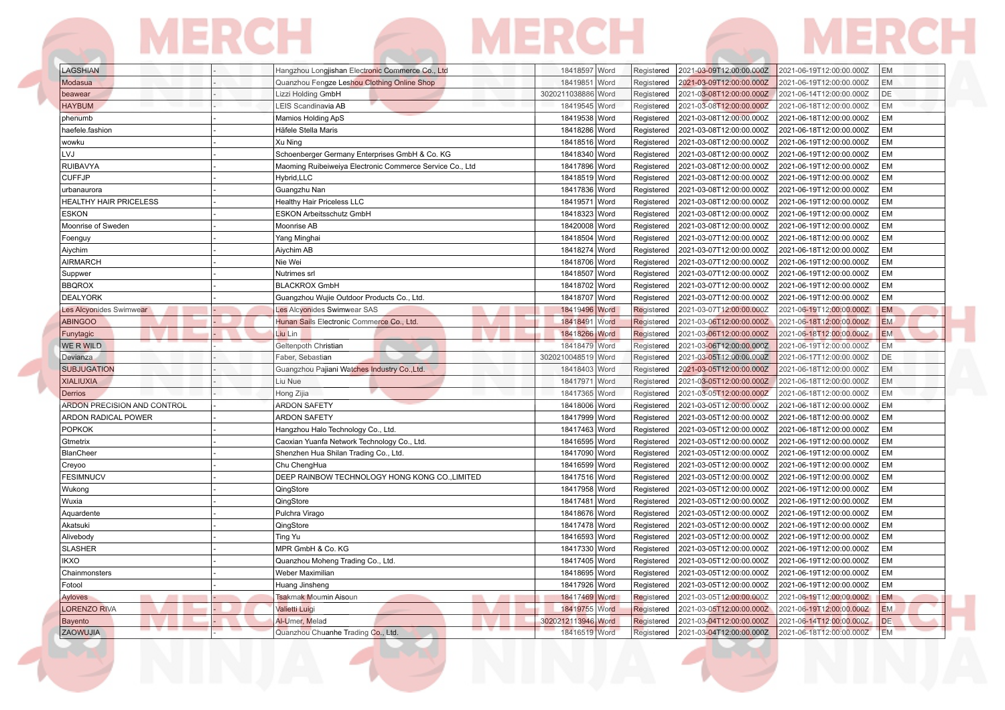# LAGSHIAN - |- | Hangzhou Longjishan Electronic Commerce Co., Ltd 18418597 Word Registered 2021-03-09T12:00:00.000Z 2021-06-19T12:00:00.000Z EM

| Modasua                            | Quanzhou Fengze Leshou Clothing Online Shop              | 18419851 Word      | Registered | 2021-03-09T12:00:00.000Z | 2021-06-19T12:00:00.000Z | <b>EM</b> |
|------------------------------------|----------------------------------------------------------|--------------------|------------|--------------------------|--------------------------|-----------|
| beawear                            | Lizzi Holding GmbH                                       | 3020211038886 Word | Registered | 2021-03-08T12:00:00.000Z | 2021-06-14T12:00:00.000Z | DE        |
| <b>HAYBUM</b>                      | LEIS Scandinavia AB                                      | 18419545 Word      | Registered | 2021-03-08T12:00:00.000Z | 2021-06-18T12:00:00.000Z | <b>EM</b> |
| phenumb                            | Mamios Holding ApS                                       | 18419538 Word      | Registered | 2021-03-08T12:00:00.000Z | 2021-06-18T12:00:00.000Z | <b>EM</b> |
| haefele.fashion                    | Häfele Stella Maris                                      | 18418286 Word      | Registered | 2021-03-08T12:00:00.000Z | 2021-06-18T12:00:00.000Z | EM        |
| wowku                              | Xu Ning                                                  | 18418516 Word      | Registered | 2021-03-08T12:00:00.000Z | 2021-06-19T12:00:00.000Z | <b>EM</b> |
| LVJ                                | Schoenberger Germany Enterprises GmbH & Co. KG           | 18418340 Word      | Registered | 2021-03-08T12:00:00.000Z | 2021-06-19T12:00:00.000Z | <b>EM</b> |
| <b>RUIBAVYA</b>                    | Maoming Ruibeiweiya Electronic Commerce Service Co., Ltd | 18417896 Word      | Registered | 2021-03-08T12:00:00.000Z | 2021-06-19T12:00:00.000Z | <b>EM</b> |
| <b>CUFFJP</b>                      | Hybrid, LLC                                              | 18418519 Word      | Registered | 2021-03-08T12:00:00.000Z | 2021-06-19T12:00:00.000Z | EM        |
| urbanaurora                        | Guangzhu Nan                                             | 18417836 Word      | Registered | 2021-03-08T12:00:00.000Z | 2021-06-19T12:00:00.000Z | <b>EM</b> |
| HEALTHY HAIR PRICELESS             | <b>Healthy Hair Priceless LLC</b>                        | 18419571 Word      | Registered | 2021-03-08T12:00:00.000Z | 2021-06-19T12:00:00.000Z | EM        |
| <b>ESKON</b>                       | ESKON Arbeitsschutz GmbH                                 | 18418323 Word      | Registered | 2021-03-08T12:00:00.000Z | 2021-06-19T12:00:00.000Z | EM        |
| Moonrise of Sweden                 | Moonrise AB                                              | 18420008 Word      | Registered | 2021-03-08T12:00:00.000Z | 2021-06-19T12:00:00.000Z | <b>EM</b> |
| Foenguy                            | Yang Minghai                                             | 18418504 Word      | Registered | 2021-03-07T12:00:00.000Z | 2021-06-18T12:00:00.000Z | <b>EM</b> |
| Aiychim                            | Aiychim AB                                               | 18418274 Word      | Registered | 2021-03-07T12:00:00.000Z | 2021-06-18T12:00:00.000Z | <b>EM</b> |
| <b>AIRMARCH</b>                    | Nie Wei                                                  | 18418706 Word      | Registered | 2021-03-07T12:00:00.000Z | 2021-06-19T12:00:00.000Z | EM        |
| Suppwer                            | Nutrimes srl                                             | 18418507 Word      | Registered | 2021-03-07T12:00:00.000Z | 2021-06-19T12:00:00.000Z | <b>EM</b> |
| <b>BBQROX</b>                      | <b>BLACKROX GmbH</b>                                     | 18418702 Word      | Registered | 2021-03-07T12:00:00.000Z | 2021-06-19T12:00:00.000Z | EM        |
| <b>DEALYORK</b>                    | Guangzhou Wujie Outdoor Products Co., Ltd.               | 18418707 Word      | Registered | 2021-03-07T12:00:00.000Z | 2021-06-19T12:00:00.000Z | <b>EM</b> |
| Les Alcyonides Swimwear            | Les Alcyonides Swimwear SAS                              | 18419496 Word      | Registered | 2021-03-07T12:00:00.000Z | 2021-06-19T12:00:00.000Z | <b>EM</b> |
| <b>ABINGOO</b>                     | Hunan Sails Electronic Commerce Co., Ltd.                | 18418491 Word      | Registered | 2021-03-06T12:00:00.000Z | 2021-06-18T12:00:00.000Z | <b>EM</b> |
| Funytagic                          | Liu Lin                                                  | 18418266 Word      | Registered | 2021-03-06T12:00:00.000Z | 2021-06-18T12:00:00.000Z | <b>EM</b> |
| WE R WILD                          | Geltenpoth Christian                                     | 18418479 Word      | Registered | 2021-03-06T12:00:00.000Z | 2021-06-19T12:00:00.000Z | <b>EM</b> |
| Devianza                           | Faber, Sebastian                                         | 3020210048519 Word | Registered | 2021-03-05T12:00:00.000Z | 2021-06-17T12:00:00.000Z | DE        |
| <b>SUBJUGATION</b>                 | Guangzhou Pajiani Watches Industry Co., Ltd.             | 18418403 Word      | Registered | 2021-03-05T12:00:00.000Z | 2021-06-18T12:00:00.000Z | EM        |
| <b>XIALIUXIA</b>                   | Liu Nue                                                  | 18417971 Word      | Registered | 2021-03-05T12:00:00.000Z | 2021-06-18T12:00:00.000Z | <b>EM</b> |
| Derrios                            | Hong Zijia                                               | 18417365 Word      | Registered | 2021-03-05T12:00:00.000Z | 2021-06-18T12:00:00.000Z | <b>EM</b> |
| <b>ARDON PRECISION AND CONTROL</b> | <b>ARDON SAFETY</b>                                      | 18418006 Word      | Registered | 2021-03-05T12:00:00.000Z | 2021-06-18T12:00:00.000Z | <b>EM</b> |
| ARDON RADICAL POWER                | <b>ARDON SAFETY</b>                                      | 18417999 Word      | Registered | 2021-03-05T12:00:00.000Z | 2021-06-18T12:00:00.000Z | <b>EM</b> |
| <b>POPKOK</b>                      | Hangzhou Halo Technology Co., Ltd                        | 18417463 Word      | Registered | 2021-03-05T12:00:00.000Z | 2021-06-18T12:00:00.000Z | EM        |
| Gtmetrix                           | Caoxian Yuanfa Network Technology Co., Ltd.              | 18416595 Word      | Registered | 2021-03-05T12:00:00.000Z | 2021-06-19T12:00:00.000Z | EM        |
| <b>BlanCheer</b>                   | Shenzhen Hua Shilan Trading Co., Ltd.                    | 18417090 Word      | Registered | 2021-03-05T12:00:00.000Z | 2021-06-19T12:00:00.000Z | <b>EM</b> |
| Creyoo                             | Chu ChengHua                                             | 18416599 Word      | Registered | 2021-03-05T12:00:00.000Z | 2021-06-19T12:00:00.000Z | EM        |
| <b>FESIMNUCV</b>                   | DEEP RAINBOW TECHNOLOGY HONG KONG CO., LIMITED           | 18417516 Word      | Registered | 2021-03-05T12:00:00.000Z | 2021-06-19T12:00:00.000Z | <b>EM</b> |
| Wukong                             | QingStore                                                | 18417958 Word      | Registered | 2021-03-05T12:00:00.000Z | 2021-06-19T12:00:00.000Z | EM        |
| Wuxia                              | QingStore                                                | 18417481 Word      | Registered | 2021-03-05T12:00:00.000Z | 2021-06-19T12:00:00.000Z | EM        |
| Aquardente                         | Pulchra Virago                                           | 18418676 Word      | Registered | 2021-03-05T12:00:00.000Z | 2021-06-19T12:00:00.000Z | <b>EM</b> |
| Akatsuki                           | QingStore                                                | 18417478 Word      | Registered | 2021-03-05T12:00:00.000Z | 2021-06-19T12:00:00.000Z | <b>EM</b> |
| Alivebody                          | Ting Yu                                                  | 18416593 Word      | Registered | 2021-03-05T12:00:00.000Z | 2021-06-19T12:00:00.000Z | <b>EM</b> |
| <b>SLASHER</b>                     | MPR GmbH & Co. KG                                        | 18417330 Word      | Registered | 2021-03-05T12:00:00.000Z | 2021-06-19T12:00:00.000Z | EM        |
| <b>IKXO</b>                        | Quanzhou Moheng Trading Co., Ltd.                        | 18417405 Word      | Registered | 2021-03-05T12:00:00.000Z | 2021-06-19T12:00:00.000Z | <b>EM</b> |
| Chainmonsters                      | Weber Maximilian                                         | 18418695 Word      | Registered | 2021-03-05T12:00:00.000Z | 2021-06-19T12:00:00.000Z | EM        |
| Fotool                             | Huang Jinsheng                                           | 18417926 Word      | Registered | 2021-03-05T12:00:00.000Z | 2021-06-19T12:00:00.000Z | <b>EM</b> |
| Ayloves                            | <b>Tsakmak Moumin Aisoun</b>                             | 18417469 Word      | Registered | 2021-03-05T12:00:00.000Z | 2021-06-19T12:00:00.000Z | EM        |
| <b>LORENZO RIVA</b>                | <b>Valietti Luigi</b>                                    | 18419755 Word      | Registered | 2021-03-05T12:00:00.000Z | 2021-06-19T12:00:00.000Z | <b>EM</b> |
| <b>Bayento</b>                     | Al-Umer, Melad                                           | 3020212113946 Word | Registered | 2021-03-04T12:00:00.000Z | 2021-06-14T12:00:00.000Z | DE.       |
| ZAOWUJIA                           | Quanzhou Chuanhe Trading Co., Ltd.                       | 18416519 Word      | Registered | 2021-03-04T12:00:00.000Z | 2021-06-18T12:00:00.000Z | <b>EM</b> |
|                                    |                                                          |                    |            |                          |                          |           |

٠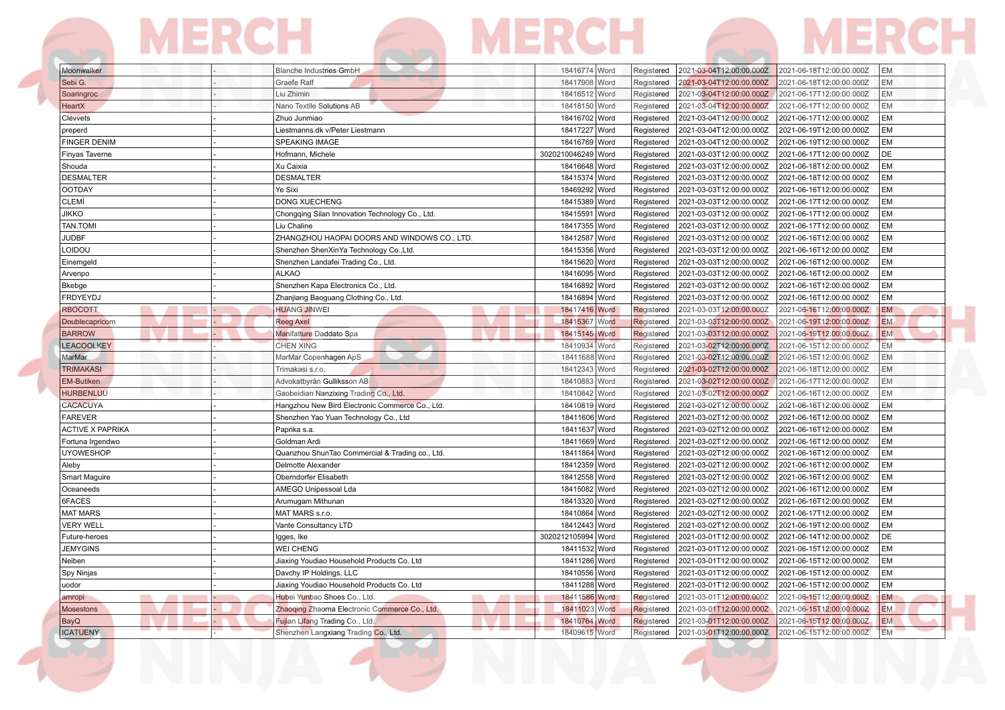| Moonwalker              | Blanche Industries GmbH                         | 18416774   Word    | Registered | 2021-03-04T12:00:00.000Z | 2021-06-18T12:00:00.000Z<br>IEM.      |  |
|-------------------------|-------------------------------------------------|--------------------|------------|--------------------------|---------------------------------------|--|
| Sebi G.                 | <b>Graefe Ralf</b>                              | 18417908 Word      | Registered | 2021-03-04T12:00:00.000Z | <b>EM</b><br>2021-06-18T12:00:00.000Z |  |
| Soaringroc              | Liu Zhimin                                      | 18416512 Word      | Registered | 2021-03-04T12:00:00.000Z | <b>EM</b><br>2021-06-17T12:00:00.000Z |  |
| HeartX                  | Nano Textile Solutions AB                       | 18418150 Word      | Registered | 2021-03-04T12:00:00.000Z | EM<br>2021-06-17T12:00:00.000Z        |  |
| Clevvets                | Zhuo Junmiao                                    | 18416702 Word      | Registered | 2021-03-04T12:00:00.000Z | EM<br>2021-06-17T12:00:00.000Z        |  |
| preperd                 | Liestmanns.dk v/Peter Liestmann                 | 18417227 Word      | Registered | 2021-03-04T12:00:00.000Z | EM<br>2021-06-19T12:00:00.000Z        |  |
| <b>FINGER DENIM</b>     | <b>SPEAKING IMAGE</b>                           | 18416769 Word      | Registered | 2021-03-04T12:00:00.000Z | EM<br>2021-06-19T12:00:00.000Z        |  |
| Finyas Taverne          | Hofmann, Michele                                | 3020210046249 Word | Registered | 2021-03-03T12:00:00.000Z | DE<br>2021-06-17T12:00:00.000Z        |  |
| Shouda                  | Xu Caixia                                       | 18416648 Word      | Registered | 2021-03-03T12:00:00.000Z | EM<br>2021-06-18T12:00:00.000Z        |  |
| <b>DESMALTER</b>        | <b>DESMALTER</b>                                | 18415374 Word      | Registered | 2021-03-03T12:00:00.000Z | EM<br>2021-06-18T12:00:00.000Z        |  |
| <b>OOTDAY</b>           | Ye Sixi                                         | 18469292 Word      | Registered | 2021-03-03T12:00:00.000Z | <b>EM</b><br>2021-06-16T12:00:00.000Z |  |
| <b>CLEMÍ</b>            | <b>DONG XUECHENG</b>                            | 18415389 Word      | Registered | 2021-03-03T12:00:00.000Z | EM<br>2021-06-17T12:00:00.000Z        |  |
| <b>JIKKO</b>            | Chongqing Silan Innovation Technology Co., Ltd. | 18415591 Word      | Registered | 2021-03-03T12:00:00.000Z | EM<br>2021-06-17T12:00:00.000Z        |  |
| <b>TAN.TOMI</b>         | Liu Chaline                                     | 18417355 Word      | Registered | 2021-03-03T12:00:00.000Z | EM<br>2021-06-17T12:00:00.000Z        |  |
| <b>JUDBF</b>            | ZHANGZHOU HAOPAI DOORS AND WINDOWS CO., LTD.    | 18412587 Word      | Registered | 2021-03-03T12:00:00.000Z | <b>EM</b><br>2021-06-16T12:00:00.000Z |  |
| LOIDOU                  | Shenzhen ShenXinYa Technology Co., Ltd.         | 18415356 Word      | Registered | 2021-03-03T12:00:00.000Z | <b>EM</b><br>2021-06-16T12:00:00.000Z |  |
| Einemgeld               | Shenzhen Landafei Trading Co., Ltd.             | 18415620 Word      | Registered | 2021-03-03T12:00:00.000Z | EM<br>2021-06-16T12:00:00.000Z        |  |
| Arvenpo                 | <b>ALKAO</b>                                    | 18416095 Word      | Registered | 2021-03-03T12:00:00.000Z | <b>EM</b><br>2021-06-16T12:00:00.000Z |  |
| Bkebge                  | Shenzhen Kapa Electronics Co., Ltd.             | 18416892 Word      | Registered | 2021-03-03T12:00:00.000Z | <b>EM</b><br>2021-06-16T12:00:00.000Z |  |
| FRDYEYDJ                | Zhanjiang Baoguang Clothing Co., Ltd.           | 18416894 Word      | Registered | 2021-03-03T12:00:00.000Z | 2021-06-16T12:00:00.000Z<br>EM        |  |
| <b>RBOCOTT</b>          | <b>HUANG JINWEI</b>                             | 18417416 Word      | Registered | 2021-03-03T12:00:00.000Z | <b>EM</b><br>2021-06-16T12:00:00.000Z |  |
| Doublecapricorn         | <b>Reeg Axel</b>                                | 18415367 Word      | Registered | 2021-03-03T12:00:00.000Z | EM.<br>2021-06-19T12:00:00.000Z       |  |
| <b>BARROW</b>           | Manifatture Daddato Spa                         | 18415145 Word      | Registered | 2021-03-03T12:00:00.000Z | <b>EM</b><br>2021-06-19T12:00:00.000Z |  |
| <b>LEACOOLKEY</b>       | <b>CHEN XING</b>                                | 18410934 Word      | Registered | 2021-03-02T12:00:00.000Z | 2021-06-15T12:00:00.000Z<br><b>EM</b> |  |
| MarMar                  | MarMar Copenhagen ApS                           | 18411688 Word      | Registered | 2021-03-02T12:00:00.000Z | <b>EM</b><br>2021-06-15T12:00:00.000Z |  |
| <b>TRIMAKASI</b>        | Trimakasi s.r.o.                                | 18412343 Word      | Registered | 2021-03-02T12:00:00.000Z | <b>EM</b><br>2021-06-18T12:00:00.000Z |  |
| EM-Butiken              | Advokatbyrån Gulliksson AB                      | 18410883 Word      | Registered | 2021-03-02T12:00:00.000Z | EM<br>2021-06-17T12:00:00.000Z        |  |
| <b>HURBENLUU</b>        | Gaobeidian Nanzixing Trading Co., Ltd.          | 18410842 Word      | Registered | 2021-03-02T12:00:00.000Z | 2021-06-16T12:00:00.000Z<br>EM        |  |
| CACACUYA                | Hangzhou New Bird Electronic Commerce Co., Ltd. | 18410819 Word      | Registered | 2021-03-02T12:00:00.000Z | <b>EM</b><br>2021-06-16T12:00:00.000Z |  |
| <b>FAREVER</b>          | Shenzhen Yao Yuan Technology Co., Ltd           | 18411606 Word      | Registered | 2021-03-02T12:00:00.000Z | <b>EM</b><br>2021-06-16T12:00:00.000Z |  |
| <b>ACTIVE X PAPRIKA</b> | Paprika s.a.                                    | 18411637 Word      | Registered | 2021-03-02T12:00:00.000Z | EM<br>2021-06-16T12:00:00.000Z        |  |
| Fortuna Irgendwo        | Goldman Ardi                                    | 18411669 Word      | Registered | 2021-03-02T12:00:00.000Z | <b>EM</b><br>2021-06-16T12:00:00.000Z |  |
| <b>UYOWESHOP</b>        | Quanzhou ShunTao Commercial & Trading co., Ltd. | 18411864 Word      | Registered | 2021-03-02T12:00:00.000Z | <b>EM</b><br>2021-06-16T12:00:00.000Z |  |
| Aleby                   | Delmotte Alexander                              | 18412359 Word      | Registered | 2021-03-02T12:00:00.000Z | EM<br>2021-06-16T12:00:00.000Z        |  |
| Smart Maguire           | Oberndorfer Elisabeth                           | 18412558 Word      | Registered | 2021-03-02T12:00:00.000Z | EM<br>2021-06-16T12:00:00.000Z        |  |
| Oceaneeds               | AMEGO Unipessoal Lda                            | 18415082 Word      | Registered | 2021-03-02T12:00:00.000Z | EM<br>2021-06-16T12:00:00.000Z        |  |
| 6FACES                  | Arumugam Mithunan                               | 18413320 Word      | Registered | 2021-03-02T12:00:00.000Z | EM<br>2021-06-16T12:00:00.000Z        |  |
| <b>MAT MARS</b>         | MAT MARS s.r.o.                                 | 18410864 Word      | Registered | 2021-03-02T12:00:00.000Z | EM<br>2021-06-17T12:00:00.000Z        |  |
| <b>VERY WELL</b>        | Vante Consultancy LTD                           | 18412443 Word      | Registered | 2021-03-02T12:00:00.000Z | <b>EM</b><br>2021-06-19T12:00:00.000Z |  |
| Future-heroes           | Igges, Ike                                      | 3020212105994 Word | Registered | 2021-03-01T12:00:00.000Z | DE<br>2021-06-14T12:00:00.000Z        |  |
| <b>JEMYGINS</b>         | <b>WEI CHENG</b>                                | 18411532 Word      | Registered | 2021-03-01T12:00:00.000Z | EM<br>2021-06-15T12:00:00.000Z        |  |
| Neiben                  | Jiaxing Youdiao Household Products Co. Ltd      | 18411286 Word      | Registered | 2021-03-01T12:00:00.000Z | <b>EM</b><br>2021-06-15T12:00:00.000Z |  |
| Spy Ninjas              | Davchy IP Holdings, LLC                         | 18410556 Word      | Registered | 2021-03-01T12:00:00.000Z | EM<br>2021-06-15T12:00:00.000Z        |  |
| uodor                   | Jiaxing Youdiao Household Products Co. Ltd      | 18411288 Word      | Registered | 2021-03-01T12:00:00.000Z | EM<br>2021-06-15T12:00:00.000Z        |  |
| amropi                  | Hubei Yunbao Shoes Co., Ltd.                    | 18411586 Word      | Registered | 2021-03-01T12:00:00.000Z | EM<br>2021-06-15T12:00:00.000Z        |  |
| <b>Mosestons</b>        | Zhaoqing Zhaoma Electronic Commerce Co., Ltd.   | 18411023 Word      | Registered | 2021-03-01T12:00:00.000Z | EM.<br>2021-06-15T12:00:00.000Z       |  |
| BayQ                    | Fujian Lifang Trading Co., Ltd.                 | 18410764 Word      | Registered | 2021-03-01T12:00:00.000Z | 2021-06-15T12:00:00.000Z<br><b>EM</b> |  |
| <b>ICATUENY</b>         | Shenzhen Langxiang Trading Co., Ltd.            | 18409615 Word      | Registered | 2021-03-01T12:00:00.000Z | <b>EM</b><br>2021-06-15T12:00:00.000Z |  |
|                         |                                                 |                    |            |                          |                                       |  |

**The Contract of Street**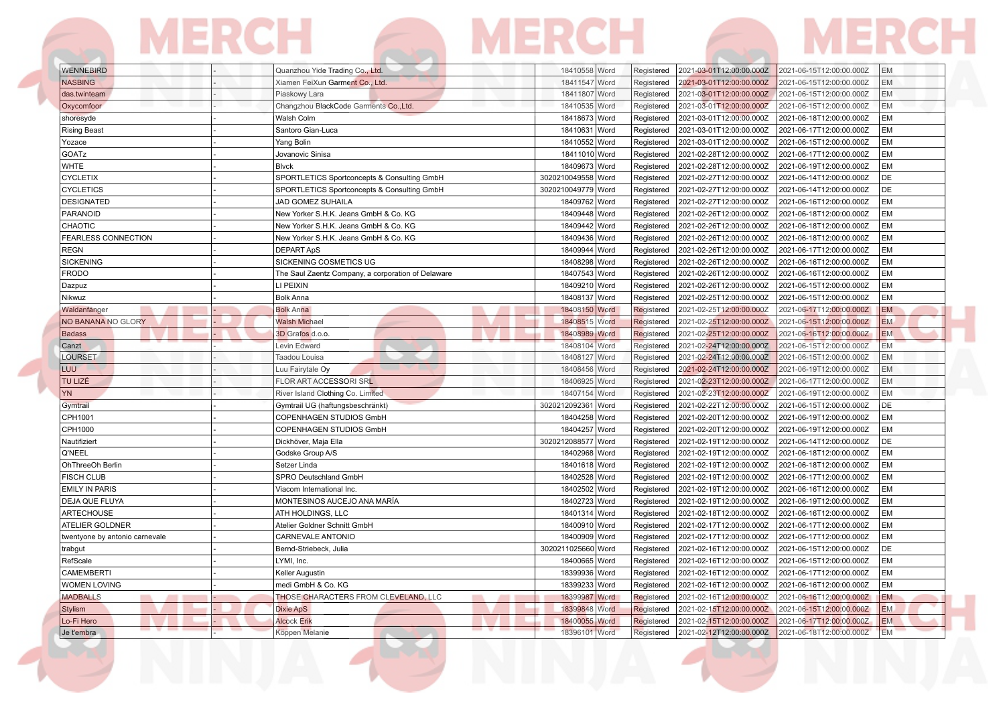# WENNEBIRD - Quanzhou Yide Trading Co., Ltd. 18410558 Word Registered 2021-03-01T12:00:00.000Z 2021-06-15T12:00:00.000Z

| <b>NASBING</b>                 | Xiamen FeiXun Garment Co., Ltd.                    | 18411547 Word         | Registered | 2021-03-01T12:00:00.000Z | 2021-06-15T12:00:00.000Z<br><b>EM</b> |
|--------------------------------|----------------------------------------------------|-----------------------|------------|--------------------------|---------------------------------------|
| das.twinteam                   | Piaskowy Lara                                      | 18411807 Word         | Registered | 2021-03-01T12:00:00.000Z | 2021-06-15T12:00:00.000Z<br><b>EM</b> |
| Oxycomfoor                     | Changzhou BlackCode Garments Co., Ltd.             | 18410535 Word         | Registered | 2021-03-01T12:00:00.000Z | EM<br>2021-06-15T12:00:00.000Z        |
| shoresyde                      | Walsh Colm                                         | 18418673 Word         | Registered | 2021-03-01T12:00:00.000Z | 2021-06-18T12:00:00.000Z<br>EM        |
| <b>Rising Beast</b>            | Santoro Gian-Luca                                  | 18410631 Word         | Registered | 2021-03-01T12:00:00.000Z | <b>EM</b><br>2021-06-17T12:00:00.000Z |
| Yozace                         | Yang Bolin                                         | 18410552 Word         | Registered | 2021-03-01T12:00:00.000Z | EM<br>2021-06-15T12:00:00.000Z        |
| GOATz                          | Jovanovic Sinisa                                   | 18411010 Word         | Registered | 2021-02-28T12:00:00.000Z | 2021-06-17T12:00:00.000Z<br><b>EM</b> |
| <b>WHTE</b>                    | Blvck                                              | 18409673 Word         | Registered | 2021-02-28T12:00:00.000Z | <b>EM</b><br>2021-06-19T12:00:00.000Z |
| <b>CYCLETIX</b>                | SPORTLETICS Sportconcepts & Consulting GmbH        | 3020210049558 Word    | Registered | 2021-02-27T12:00:00.000Z | DE<br>2021-06-14T12:00:00.000Z        |
| <b>CYCLETICS</b>               | SPORTLETICS Sportconcepts & Consulting GmbH        | 3020210049779 Word    | Registered | 2021-02-27T12:00:00.000Z | DE<br>2021-06-14T12:00:00.000Z        |
| <b>DESIGNATED</b>              | <b>JAD GOMEZ SUHAILA</b>                           | 18409762 Word         | Registered | 2021-02-27T12:00:00.000Z | <b>EM</b><br>2021-06-16T12:00:00.000Z |
| PARANOID                       | New Yorker S.H.K. Jeans GmbH & Co. KG              | 18409448 Word         | Registered | 2021-02-26T12:00:00.000Z | EM<br>2021-06-18T12:00:00.000Z        |
| CHAOTIC                        | New Yorker S.H.K. Jeans GmbH & Co. KG              | 18409442 Word         | Registered | 2021-02-26T12:00:00.000Z | <b>EM</b><br>2021-06-18T12:00:00.000Z |
| <b>FEARLESS CONNECTION</b>     | New Yorker S.H.K. Jeans GmbH & Co. KG              | 18409436 Word         | Registered | 2021-02-26T12:00:00.000Z | <b>EM</b><br>2021-06-18T12:00:00.000Z |
| <b>REGN</b>                    | <b>DEPART ApS</b>                                  | 18409944 Word         | Registered | 2021-02-26T12:00:00.000Z | EM<br>2021-06-17T12:00:00.000Z        |
| <b>SICKENING</b>               | SICKENING COSMETICS UG                             | 18408298 Word         | Registered | 2021-02-26T12:00:00.000Z | EM<br>2021-06-16T12:00:00.000Z        |
| <b>FRODO</b>                   | The Saul Zaentz Company, a corporation of Delaware | 18407543 Word         | Registered | 2021-02-26T12:00:00.000Z | <b>EM</b><br>2021-06-16T12:00:00.000Z |
| Dazpuz                         | LI PEIXIN                                          | 18409210 Word         | Registered | 2021-02-26T12:00:00.000Z | <b>EM</b><br>2021-06-15T12:00:00.000Z |
| Nikwuz                         | <b>Bolk Anna</b>                                   | 18408137 Word         | Registered | 2021-02-25T12:00:00.000Z | EM<br>2021-06-15T12:00:00.000Z        |
| Waldanfänger                   | <b>Bolk Anna</b>                                   | 18408150 Word         | Registered | 2021-02-25T12:00:00.000Z | <b>EM</b><br>2021-06-17T12:00:00.000Z |
| NO BANANA NO GLORY             | <b>Walsh Michael</b>                               | 18408515 Word         | Registered | 2021-02-25T12:00:00.000Z | 2021-06-15T12:00:00.000Z<br>EM.       |
| <b>Badass</b>                  | 3D Grafos d.o.o.                                   | 18408989 Word         | Registered | 2021-02-25T12:00:00.000Z | <b>EM</b><br>2021-06-16T12:00:00.000Z |
| Canzt                          | Levin Edward                                       | 18408104 Word         | Registered | 2021-02-24T12:00:00.000Z | <b>EM</b><br>2021-06-15T12:00:00.000Z |
| LOURSET                        | Taadou Louisa                                      | 18408127 Word         | Registered | 2021-02-24T12:00:00.000Z | 2021-06-15T12:00:00.000Z<br>EM        |
| <b>LUU</b>                     | Luu Fairytale Oy                                   | 18408456 Word         | Registered | 2021-02-24T12:00:00.000Z | <b>EM</b><br>2021-06-19T12:00:00.000Z |
| TU LIZÉ                        | FLOR ART ACCESSORI SRL                             | 18406925 Word         | Registered | 2021-02-23T12:00:00.000Z | 2021-06-17T12:00:00.000Z<br>EM        |
| <b>YN</b>                      | River Island Clothing Co. Limited                  | 18407154 Word         | Registered | 2021-02-23T12:00:00.000Z | <b>EM</b><br>2021-06-19T12:00:00.000Z |
| Gymtrail                       | Gymtrail UG (haftungsbeschränkt)                   | 3020212092361 Word    | Registered | 2021-02-22T12:00:00.000Z | DE<br>2021-06-15T12:00:00.000Z        |
| CPH1001                        | COPENHAGEN STUDIOS GmbH                            | 18404258 Word         | Registered | 2021-02-20T12:00:00.000Z | EM<br>2021-06-19T12:00:00.000Z        |
| CPH1000                        | <b>COPENHAGEN STUDIOS GmbH</b>                     | 18404257 Word         | Registered | 2021-02-20T12:00:00.000Z | EM<br>2021-06-19T12:00:00.000Z        |
| Nautifiziert                   | Dickhöver, Maja Ella                               | 3020212088577<br>Word | Registered | 2021-02-19T12:00:00.000Z | DE<br>2021-06-14T12:00:00.000Z        |
| Q'NEEL                         | Godske Group A/S                                   | 18402968 Word         | Registered | 2021-02-19T12:00:00.000Z | EM<br>2021-06-18T12:00:00.000Z        |
| OhThreeOh Berlin               | Setzer Linda                                       | 18401618 Word         | Registered | 2021-02-19T12:00:00.000Z | EM<br>2021-06-18T12:00:00.000Z        |
| <b>FISCH CLUB</b>              | SPRO Deutschland GmbH                              | 18402528 Word         | Registered | 2021-02-19T12:00:00.000Z | EM<br>2021-06-17T12:00:00.000Z        |
| <b>EMILY IN PARIS</b>          | Viacom International Inc.                          | 18402502 Word         | Registered | 2021-02-19T12:00:00.000Z | EM<br>2021-06-16T12:00:00.000Z        |
| <b>DEJA QUE FLUYA</b>          | MONTESINOS AUCEJO ANA MARÍA                        | 18402723 Word         | Registered | 2021-02-19T12:00:00.000Z | EM<br>2021-06-19T12:00:00.000Z        |
| ARTECHOUSE                     | ATH HOLDINGS, LLC                                  | 18401314 Word         | Registered | 2021-02-18T12:00:00.000Z | EM<br>2021-06-16T12:00:00.000Z        |
| ATELIER GOLDNER                | Atelier Goldner Schnitt GmbH                       | 18400910 Word         | Registered | 2021-02-17T12:00:00.000Z | <b>EM</b><br>2021-06-17T12:00:00.000Z |
| twentyone by antonio carnevale | <b>CARNEVALE ANTONIO</b>                           | 18400909 Word         | Registered | 2021-02-17T12:00:00.000Z | EM<br>2021-06-17T12:00:00.000Z        |
| trabgut                        | Bernd-Striebeck, Julia                             | 3020211025660 Word    | Registered | 2021-02-16T12:00:00.000Z | DE<br>2021-06-15T12:00:00.000Z        |
| RefScale                       | LYMI, Inc.                                         | 18400665 Word         | Registered | 2021-02-16T12:00:00.000Z | <b>EM</b><br>2021-06-15T12:00:00.000Z |
| CAMEMBERTI                     | <b>Keller Augustin</b>                             | 18399936 Word         | Registered | 2021-02-16T12:00:00.000Z | EM<br>2021-06-17T12:00:00.000Z        |
| <b>WOMEN LOVING</b>            | medi GmbH & Co. KG                                 | 18399233 Word         | Registered | 2021-02-16T12:00:00.000Z | 2021-06-16T12:00:00.000Z<br><b>EM</b> |
| <b>MADBALLS</b>                | THOSE CHARACTERS FROM CLEVELAND, LLC               | 18399987 Word         | Registered | 2021-02-16T12:00:00.000Z | EM<br>2021-06-16T12:00:00.000Z        |
| <b>Stylism</b>                 | Dixie ApS                                          | 18399848 Word         | Registered | 2021-02-15T12:00:00.000Z | <b>EM</b><br>2021-06-15T12:00:00.000Z |
| Lo-Fi Hero                     | <b>Alcock Erik</b>                                 | 18400055 Word         | Registered | 2021-02-15T12:00:00.000Z | <b>EM</b><br>2021-06-17T12:00:00.000Z |
| Je t'embra                     | Köppen Melanie                                     | 18396101 Word         | Registered | 2021-02-12T12:00:00.000Z | <b>EM</b><br>2021-06-18T12:00:00.000Z |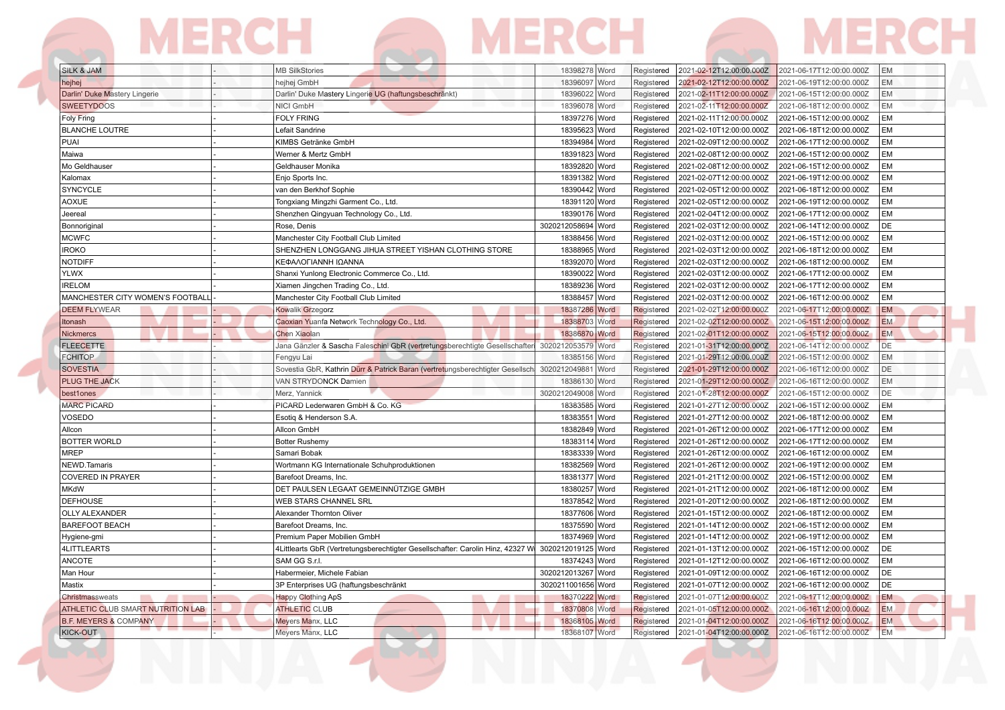#### **MERCH** MERCH 6 **MERCH** For

| SILK & JAM                         | <b>MB SilkStories</b>                                                                             | 18398278   Word           |      | Registered | 2021-02-12T12:00:00.000Z | 2021-06-17T12:00:00.000Z | EM        |
|------------------------------------|---------------------------------------------------------------------------------------------------|---------------------------|------|------------|--------------------------|--------------------------|-----------|
| hejhej                             | hejhej GmbH                                                                                       | 18396097 Word             |      | Registered | 2021-02-12T12:00:00.000Z | 2021-06-19T12:00:00.000Z | <b>EM</b> |
| Darlin' Duke Mastery Lingerie      | Darlin' Duke Mastery Lingerie UG (haftungsbeschränkt)                                             | 18396022 Word             |      | Registered | 2021-02-11T12:00:00.000Z | 2021-06-15T12:00:00.000Z | EM        |
| <b>SWEETYDOOS</b>                  | NICI GmbH                                                                                         | 18396078 Word             |      | Registered | 2021-02-11T12:00:00.000Z | 2021-06-18T12:00:00.000Z | EM        |
| <b>Foly Fring</b>                  | <b>FOLY FRING</b>                                                                                 | 18397276 Word             |      | Registered | 2021-02-11T12:00:00.000Z | 2021-06-15T12:00:00.000Z | EM        |
| <b>BLANCHE LOUTRE</b>              | Lefait Sandrine                                                                                   | 18395623 Word             |      | Registered | 2021-02-10T12:00:00.000Z | 2021-06-18T12:00:00.000Z | EM        |
| PUAI                               | KIMBS Getränke GmbH                                                                               | 18394984 Word             |      | Registered | 2021-02-09T12:00:00.000Z | 2021-06-17T12:00:00.000Z | EM        |
| Maiwa                              | Werner & Mertz GmbH                                                                               | 18391823                  | Word | Registered | 2021-02-08T12:00:00.000Z | 2021-06-15T12:00:00.000Z | EМ        |
| Mo Geldhauser                      | Geldhauser Monika                                                                                 | 18392820                  | Word | Registered | 2021-02-08T12:00:00.000Z | 2021-06-15T12:00:00.000Z | <b>EM</b> |
| Kalomax                            | Enjo Sports Inc.                                                                                  | 18391382 Word             |      | Registered | 2021-02-07T12:00:00.000Z | 2021-06-19T12:00:00.000Z | EM        |
| <b>SYNCYCLE</b>                    | van den Berkhof Sophie                                                                            | 18390442 Word             |      | Registered | 2021-02-05T12:00:00.000Z | 2021-06-18T12:00:00.000Z | EM        |
| <b>AOXUE</b>                       | Tongxiang Mingzhi Garment Co., Ltd.                                                               | 18391120 Word             |      | Registered | 2021-02-05T12:00:00.000Z | 2021-06-19T12:00:00.000Z | EM        |
| Jeereal                            | Shenzhen Qingyuan Technology Co., Ltd.                                                            | 18390176 Word             |      | Registered | 2021-02-04T12:00:00.000Z | 2021-06-17T12:00:00.000Z | EM        |
| Bonnoriginal                       | Rose, Denis                                                                                       | 3020212058694 Word        |      | Registered | 2021-02-03T12:00:00.000Z | 2021-06-14T12:00:00.000Z | DE        |
| <b>MCWFC</b>                       | Manchester City Football Club Limited                                                             | 18388456 Word             |      | Registered | 2021-02-03T12:00:00.000Z | 2021-06-15T12:00:00.000Z | EМ        |
| <b>IROKO</b>                       | SHENZHEN LONGGANG JIHUA STREET YISHAN CLOTHING STORE                                              | 18388965 Word             |      | Registered | 2021-02-03T12:00:00.000Z | 2021-06-18T12:00:00.000Z | EM        |
| <b>NOTDIFF</b>                     | ΚΕΦΑΛΟΓΙΑΝΝΗ ΙΩΑΝΝΑ                                                                               | 18392070                  | Word | Registered | 2021-02-03T12:00:00.000Z | 2021-06-18T12:00:00.000Z | EM        |
| <b>YLWX</b>                        | Shanxi Yunlong Electronic Commerce Co., Ltd.                                                      | 18390022 Word             |      | Registered | 2021-02-03T12:00:00.000Z | 2021-06-17T12:00:00.000Z | EM        |
| <b>IRELOM</b>                      | Xiamen Jingchen Trading Co., Ltd.                                                                 | 18389236 Word             |      | Registered | 2021-02-03T12:00:00.000Z | 2021-06-17T12:00:00.000Z | EM        |
| MANCHESTER CITY WOMEN'S FOOTBALL   | Manchester City Football Club Limited                                                             | 18388457 Word             |      | Registered | 2021-02-03T12:00:00.000Z | 2021-06-16T12:00:00.000Z | EM        |
| <b>DEEM FLYWEAR</b>                | Kowalik Grzegorz                                                                                  | 18387286 Word             |      | Registered | 2021-02-02T12:00:00.000Z | 2021-06-17T12:00:00.000Z | <b>EM</b> |
| Itonash                            | Caoxian Yuanfa Network Technology Co., Ltd.                                                       | 18388703 Word             |      | Registered | 2021-02-02T12:00:00.000Z | 2021-06-15T12:00:00.000Z | <b>EM</b> |
| <b>Nickmercs</b>                   | <b>Chen Xiaolan</b>                                                                               | 18386870 Word             |      | Registered | 2021-02-01T12:00:00.000Z | 2021-06-15T12:00:00.000Z | <b>EM</b> |
| <b>FLEECETTE</b>                   | Jana Gänzler & Sascha Faleschini GbR (vertretungsberechtigte Gesellschafteri                      | 3020212053579 Word        |      | Registered | 2021-01-31T12:00:00.000Z | 2021-06-14T12:00:00.000Z | DE        |
| <b>FCHITOP</b>                     | Fengyu Lai                                                                                        | 18385156 Word             |      | Registered | 2021-01-29T12:00:00.000Z | 2021-06-15T12:00:00.000Z | EM        |
| <b>SOVESTIA</b>                    | Sovestia GbR, Kathrin Dürr & Patrick Baran (vertretungsberechtigter Gesellsch                     | 3020212049881             | Word | Registered | 2021-01-29T12:00:00.000Z | 2021-06-16T12:00:00.000Z | DE        |
| PLUG THE JACK                      | VAN STRYDONCK Damien                                                                              | 18386130 Word             |      | Registered | 2021-01-29T12:00:00.000Z | 2021-06-16T12:00:00.000Z | EM        |
| best1ones                          | Merz, Yannick                                                                                     | 3020212049008 Word        |      | Registered | 2021-01-28T12:00:00.000Z | 2021-06-15T12:00:00.000Z | DE        |
| <b>MARC PICARD</b>                 | PICARD Lederwaren GmbH & Co. KG                                                                   | 18383585 Word             |      | Registered | 2021-01-27T12:00:00.000Z | 2021-06-15T12:00:00.000Z | EM        |
| VOSEDO                             | Esotig & Henderson S.A.                                                                           | 18383551                  | Word | Registered | 2021-01-27T12:00:00.000Z | 2021-06-18T12:00:00.000Z | EM        |
|                                    | Allcon GmbH                                                                                       | 18382849 Word             |      |            | 2021-01-26T12:00:00.000Z | 2021-06-17T12:00:00.000Z | EМ        |
| Allcon                             |                                                                                                   |                           |      | Registered |                          |                          | EM        |
| <b>BOTTER WORLD</b><br><b>MREP</b> | <b>Botter Rushemy</b>                                                                             | 18383114 Word<br>18383339 |      | Registered | 2021-01-26T12:00:00.000Z | 2021-06-17T12:00:00.000Z | EM        |
|                                    | Samari Bobak                                                                                      |                           | Word | Registered | 2021-01-26T12:00:00.000Z | 2021-06-16T12:00:00.000Z | EM        |
| NEWD.Tamaris                       | Wortmann KG Internationale Schuhproduktionen                                                      | 18382569 Word             |      | Registered | 2021-01-26T12:00:00.000Z | 2021-06-19T12:00:00.000Z |           |
| <b>COVERED IN PRAYER</b>           | Barefoot Dreams, Inc.                                                                             | 18381377 Word             |      | Registered | 2021-01-21T12:00:00.000Z | 2021-06-15T12:00:00.000Z | EM        |
| <b>MKdW</b>                        | DET PAULSEN LEGAAT GEMEINNÜTZIGE GMBH                                                             | 18380257 Word             |      | Registered | 2021-01-21T12:00:00.000Z | 2021-06-18T12:00:00.000Z | EM        |
| <b>DEFHOUSE</b>                    | WEB STARS CHANNEL SRL                                                                             | 18378542 Word             |      | Registered | 2021-01-20T12:00:00.000Z | 2021-06-18T12:00:00.000Z | EM        |
| <b>OLLY ALEXANDER</b>              | Alexander Thornton Oliver                                                                         | 18377606 Word             |      | Registered | 2021-01-15T12:00:00.000Z | 2021-06-18T12:00:00.000Z | EM        |
| <b>BAREFOOT BEACH</b>              | Barefoot Dreams, Inc.                                                                             | 18375590 Word             |      | Registered | 2021-01-14T12:00:00.000Z | 2021-06-15T12:00:00.000Z | EM        |
| Hygiene-gmi                        | Premium Paper Mobilien GmbH                                                                       | 18374969 Word             |      | Registered | 2021-01-14T12:00:00.000Z | 2021-06-19T12:00:00.000Z | EM        |
| <b>4LITTLEARTS</b>                 | 4Littlearts GbR (Vertretungsberechtigter Gesellschafter: Carolin Hinz, 42327 W 3020212019125 Word |                           |      | Registered | 2021-01-13T12:00:00.000Z | 2021-06-15T12:00:00.000Z | DE        |
| <b>ANCOTE</b>                      | SAM GG S.r.I.                                                                                     | 18374243 Word             |      | Registered | 2021-01-12T12:00:00.000Z | 2021-06-16T12:00:00.000Z | EM        |
| Man Hour                           | Habermeier, Michele Fabian                                                                        | 3020212013267 Word        |      | Registered | 2021-01-09T12:00:00.000Z | 2021-06-16T12:00:00.000Z | DE        |
| Mastix                             | 3P Enterprises UG (haftungsbeschränkt                                                             | 3020211001656 Word        |      | Registered | 2021-01-07T12:00:00.000Z | 2021-06-16T12:00:00.000Z | DE        |
| Christmassweats                    | <b>Happy Clothing ApS</b>                                                                         | 18370222 Word             |      | Registered | 2021-01-07T12:00:00.000Z | 2021-06-17T12:00:00.000Z | <b>EM</b> |
| ATHLETIC CLUB SMART NUTRITION LAB  | <b>ATHLETIC CLUB</b>                                                                              | 18370808 Word             |      | Registered | 2021-01-05T12:00:00.000Z | 2021-06-16T12:00:00.000Z | <b>EM</b> |
| <b>B.F. MEYERS &amp; COMPANY</b>   | Meyers Manx, LLC                                                                                  | 18368105 Word             |      | Registered | 2021-01-04T12:00:00.000Z | 2021-06-16T12:00:00.000Z | <b>EM</b> |
| KICK-OUT                           | Meyers Manx, LLC                                                                                  | 18368107 Word             |      | Registered | 2021-01-04T12:00:00.000Z | 2021-06-16T12:00:00.000Z | <b>EM</b> |
|                                    |                                                                                                   |                           |      |            |                          |                          |           |